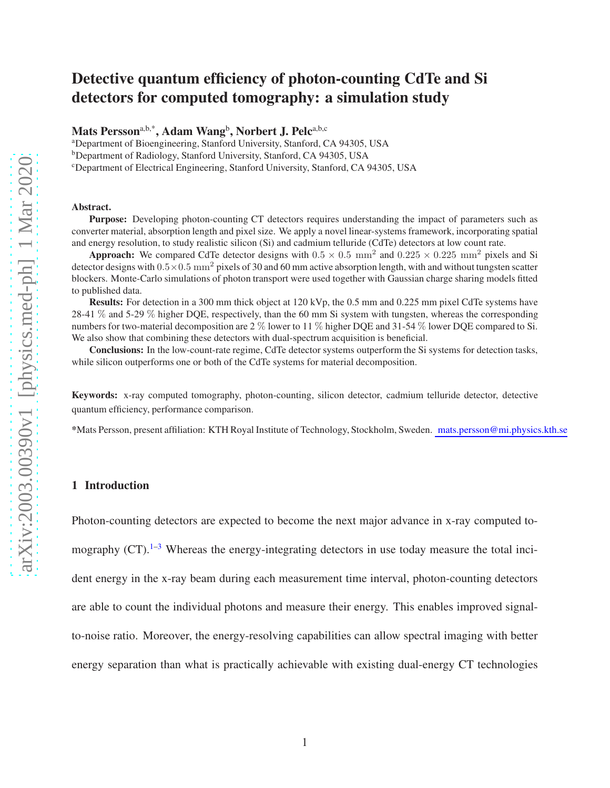## Detective quantum efficiency of photon-counting CdTe and Si detectors for computed tomography: a simulation study

Mats Persson<sup>a,b,\*</sup>, Adam Wang<sup>b</sup>, Norbert J. Pelc<sup>a,b,c</sup>

<sup>a</sup>Department of Bioengineering, Stanford University, Stanford, CA 94305, USA

<sup>b</sup>Department of Radiology, Stanford University, Stanford, CA 94305, USA

<sup>c</sup>Department of Electrical Engineering, Stanford University, Stanford, CA 94305, USA

#### Abstract.

Purpose: Developing photon-counting CT detectors requires understanding the impact of parameters such as converter material, absorption length and pixel size. We apply a novel linear-systems framework, incorporating spatial and energy resolution, to study realistic silicon (Si) and cadmium telluride (CdTe) detectors at low count rate.

Approach: We compared CdTe detector designs with  $0.5 \times 0.5$  mm<sup>2</sup> and  $0.225 \times 0.225$  mm<sup>2</sup> pixels and Si detector designs with  $0.5 \times 0.5$  mm<sup>2</sup> pixels of 30 and 60 mm active absorption length, with and without tungsten scatter blockers. Monte-Carlo simulations of photon transport were used together with Gaussian charge sharing models fitted to published data.

Results: For detection in a 300 mm thick object at 120 kVp, the 0.5 mm and 0.225 mm pixel CdTe systems have 28-41 % and 5-29 % higher DQE, respectively, than the 60 mm Si system with tungsten, whereas the corresponding numbers for two-material decomposition are 2 % lower to 11 % higher DQE and 31-54 % lower DQE compared to Si. We also show that combining these detectors with dual-spectrum acquisition is beneficial.

Conclusions: In the low-count-rate regime, CdTe detector systems outperform the Si systems for detection tasks, while silicon outperforms one or both of the CdTe systems for material decomposition.

Keywords: x-ray computed tomography, photon-counting, silicon detector, cadmium telluride detector, detective quantum efficiency, performance comparison.

<span id="page-0-0"></span>\*Mats Persson, present affiliation: KTH Royal Institute of Technology, Stockholm, Sweden. mats.persson@mi.physics.kth.se

#### 1 Introduction

Photon-counting detectors are expected to become the next major advance in x-ray computed to-

mography  $(CT)$ .<sup>[1](#page-45-0)[–3](#page-45-1)</sup> Whereas the energy-integrating detectors in use today measure the total inci-

dent energy in the x-ray beam during each measurement time interval, photon-counting detectors

are able to count the individual photons and measure their energy. This enables improved signal-

to-noise ratio. Moreover, the energy-resolving capabilities can allow spectral imaging with better

energy separation than what is practically achievable with existing dual-energy CT technologies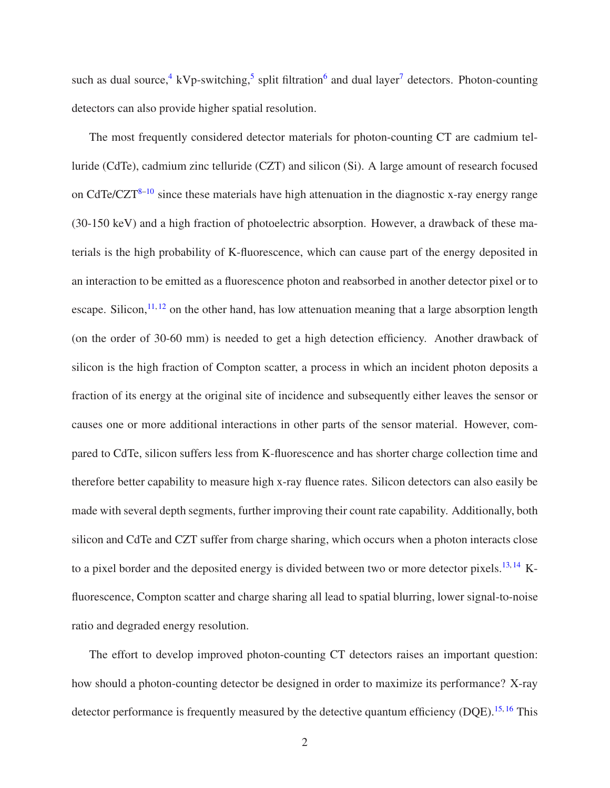such as dual source,<sup>[4](#page-46-0)</sup> kVp-switching,<sup>[5](#page-46-1)</sup> split filtration<sup>[6](#page-46-2)</sup> and dual layer<sup>[7](#page-46-3)</sup> detectors. Photon-counting detectors can also provide higher spatial resolution.

The most frequently considered detector materials for photon-counting CT are cadmium telluride (CdTe), cadmium zinc telluride (CZT) and silicon (Si). A large amount of research focused on CdTe/CZT[8–](#page-46-4)[10](#page-46-5) since these materials have high attenuation in the diagnostic x-ray energy range (30-150 keV) and a high fraction of photoelectric absorption. However, a drawback of these materials is the high probability of K-fluorescence, which can cause part of the energy deposited in an interaction to be emitted as a fluorescence photon and reabsorbed in another detector pixel or to escape. Silicon, $11, 12$  $11, 12$  $11, 12$  on the other hand, has low attenuation meaning that a large absorption length (on the order of 30-60 mm) is needed to get a high detection efficiency. Another drawback of silicon is the high fraction of Compton scatter, a process in which an incident photon deposits a fraction of its energy at the original site of incidence and subsequently either leaves the sensor or causes one or more additional interactions in other parts of the sensor material. However, compared to CdTe, silicon suffers less from K-fluorescence and has shorter charge collection time and therefore better capability to measure high x-ray fluence rates. Silicon detectors can also easily be made with several depth segments, further improving their count rate capability. Additionally, both silicon and CdTe and CZT suffer from charge sharing, which occurs when a photon interacts close to a pixel border and the deposited energy is divided between two or more detector pixels.<sup>[13,](#page-47-1) [14](#page-47-2)</sup> Kfluorescence, Compton scatter and charge sharing all lead to spatial blurring, lower signal-to-noise ratio and degraded energy resolution.

The effort to develop improved photon-counting CT detectors raises an important question: how should a photon-counting detector be designed in order to maximize its performance? X-ray detector performance is frequently measured by the detective quantum efficiency (DOE).<sup>[15,](#page-47-3) [16](#page-47-4)</sup> This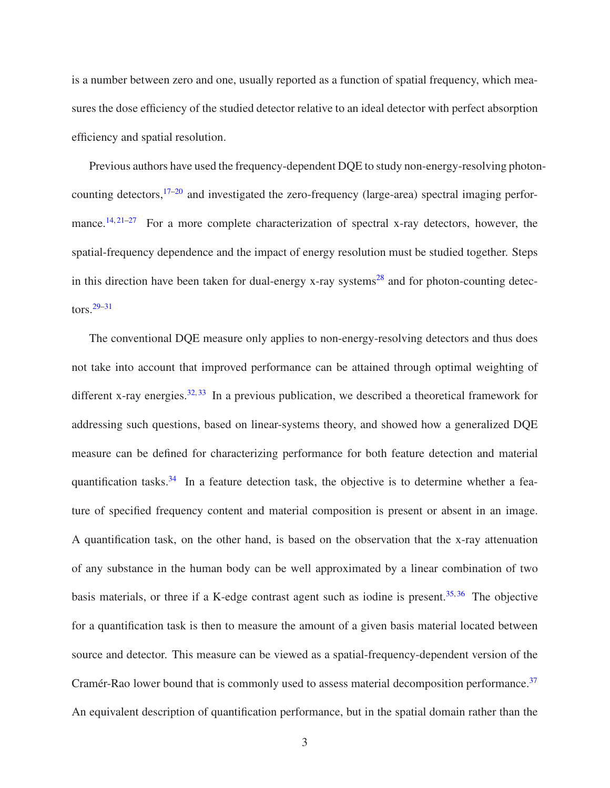is a number between zero and one, usually reported as a function of spatial frequency, which measures the dose efficiency of the studied detector relative to an ideal detector with perfect absorption efficiency and spatial resolution.

Previous authors have used the frequency-dependent DQE to study non-energy-resolving photon-counting detectors,<sup>[17–](#page-47-5)[20](#page-47-6)</sup> and investigated the zero-frequency (large-area) spectral imaging perfor-mance.<sup>[14,](#page-47-2) [21](#page-48-0)[–27](#page-48-1)</sup> For a more complete characterization of spectral x-ray detectors, however, the spatial-frequency dependence and the impact of energy resolution must be studied together. Steps in this direction have been taken for dual-energy x-ray systems<sup>[28](#page-48-2)</sup> and for photon-counting detectors.[29–](#page-49-0)[31](#page-49-1)

The conventional DQE measure only applies to non-energy-resolving detectors and thus does not take into account that improved performance can be attained through optimal weighting of different x-ray energies.<sup>[32,](#page-49-2) [33](#page-49-3)</sup> In a previous publication, we described a theoretical framework for addressing such questions, based on linear-systems theory, and showed how a generalized DQE measure can be defined for characterizing performance for both feature detection and material quantification tasks. $34$  In a feature detection task, the objective is to determine whether a feature of specified frequency content and material composition is present or absent in an image. A quantification task, on the other hand, is based on the observation that the x-ray attenuation of any substance in the human body can be well approximated by a linear combination of two basis materials, or three if a K-edge contrast agent such as iodine is present.<sup>[35,](#page-49-5) [36](#page-49-6)</sup> The objective for a quantification task is then to measure the amount of a given basis material located between source and detector. This measure can be viewed as a spatial-frequency-dependent version of the Cramér-Rao lower bound that is commonly used to assess material decomposition performance.<sup>[37](#page-49-7)</sup> An equivalent description of quantification performance, but in the spatial domain rather than the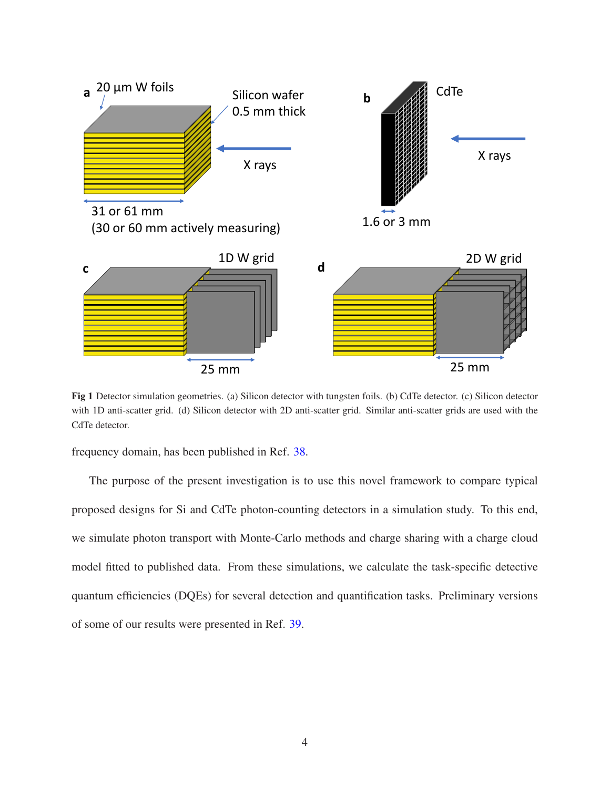

<span id="page-3-0"></span>Fig 1 Detector simulation geometries. (a) Silicon detector with tungsten foils. (b) CdTe detector. (c) Silicon detector with 1D anti-scatter grid. (d) Silicon detector with 2D anti-scatter grid. Similar anti-scatter grids are used with the CdTe detector.

frequency domain, has been published in Ref. [38.](#page-49-8)

The purpose of the present investigation is to use this novel framework to compare typical proposed designs for Si and CdTe photon-counting detectors in a simulation study. To this end, we simulate photon transport with Monte-Carlo methods and charge sharing with a charge cloud model fitted to published data. From these simulations, we calculate the task-specific detective quantum efficiencies (DQEs) for several detection and quantification tasks. Preliminary versions of some of our results were presented in Ref. [39.](#page-50-0)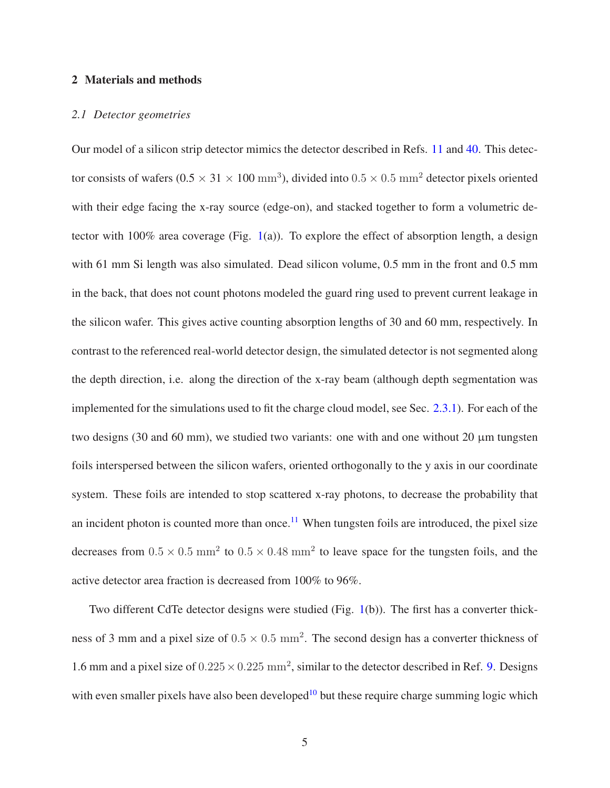### 2 Materials and methods

#### *2.1 Detector geometries*

Our model of a silicon strip detector mimics the detector described in Refs. [11](#page-46-6) and [40.](#page-50-1) This detector consists of wafers (0.5  $\times$  31  $\times$  100 mm<sup>3</sup>), divided into 0.5  $\times$  0.5 mm<sup>2</sup> detector pixels oriented with their edge facing the x-ray source (edge-on), and stacked together to form a volumetric de-tector with 100% area coverage (Fig. [1\(](#page-3-0)a)). To explore the effect of absorption length, a design with 61 mm Si length was also simulated. Dead silicon volume, 0.5 mm in the front and 0.5 mm in the back, that does not count photons modeled the guard ring used to prevent current leakage in the silicon wafer. This gives active counting absorption lengths of 30 and 60 mm, respectively. In contrast to the referenced real-world detector design, the simulated detector is not segmented along the depth direction, i.e. along the direction of the x-ray beam (although depth segmentation was implemented for the simulations used to fit the charge cloud model, see Sec. [2.3.1\)](#page-6-0). For each of the two designs (30 and 60 mm), we studied two variants: one with and one without 20  $\mu$ m tungsten foils interspersed between the silicon wafers, oriented orthogonally to the y axis in our coordinate system. These foils are intended to stop scattered x-ray photons, to decrease the probability that an incident photon is counted more than once.<sup>[11](#page-46-6)</sup> When tungsten foils are introduced, the pixel size decreases from  $0.5 \times 0.5$  mm<sup>2</sup> to  $0.5 \times 0.48$  mm<sup>2</sup> to leave space for the tungsten foils, and the active detector area fraction is decreased from 100% to 96%.

Two different CdTe detector designs were studied (Fig. [1\(](#page-3-0)b)). The first has a converter thickness of 3 mm and a pixel size of  $0.5 \times 0.5$  mm<sup>2</sup>. The second design has a converter thickness of 1.6 mm and a pixel size of  $0.225 \times 0.225$  mm<sup>2</sup>, similar to the detector described in Ref. [9.](#page-46-7) Designs with even smaller pixels have also been developed<sup>[10](#page-46-5)</sup> but these require charge summing logic which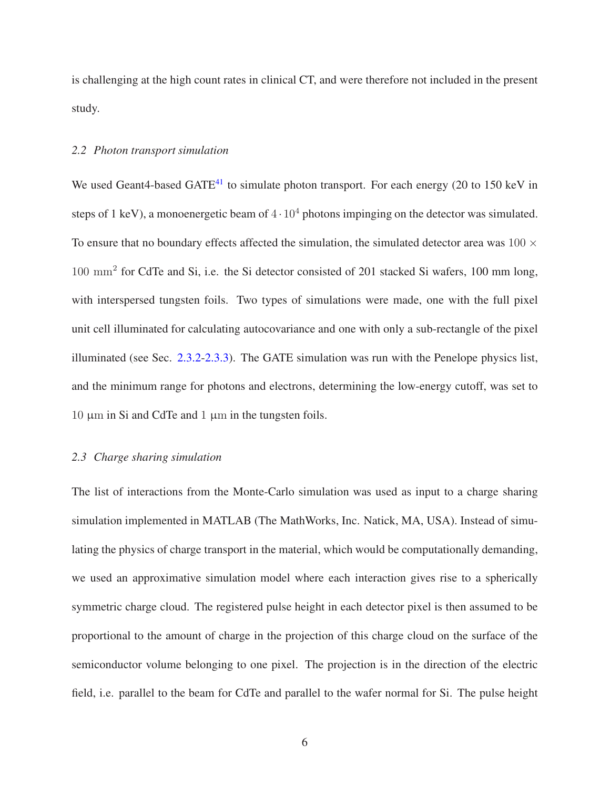<span id="page-5-0"></span>is challenging at the high count rates in clinical CT, and were therefore not included in the present study.

## *2.2 Photon transport simulation*

We used Geant4-based GATE<sup>[41](#page-50-2)</sup> to simulate photon transport. For each energy (20 to 150 keV in steps of 1 keV), a monoenergetic beam of  $4 \cdot 10^4$  photons impinging on the detector was simulated. To ensure that no boundary effects affected the simulation, the simulated detector area was  $100 \times$ 100 mm<sup>2</sup> for CdTe and Si, i.e. the Si detector consisted of 201 stacked Si wafers, 100 mm long, with interspersed tungsten foils. Two types of simulations were made, one with the full pixel unit cell illuminated for calculating autocovariance and one with only a sub-rectangle of the pixel illuminated (see Sec. [2.3.2-](#page-8-0)[2.3.3\)](#page-9-0). The GATE simulation was run with the Penelope physics list, and the minimum range for photons and electrons, determining the low-energy cutoff, was set to  $10 \mu m$  in Si and CdTe and  $1 \mu m$  in the tungsten foils.

## *2.3 Charge sharing simulation*

The list of interactions from the Monte-Carlo simulation was used as input to a charge sharing simulation implemented in MATLAB (The MathWorks, Inc. Natick, MA, USA). Instead of simulating the physics of charge transport in the material, which would be computationally demanding, we used an approximative simulation model where each interaction gives rise to a spherically symmetric charge cloud. The registered pulse height in each detector pixel is then assumed to be proportional to the amount of charge in the projection of this charge cloud on the surface of the semiconductor volume belonging to one pixel. The projection is in the direction of the electric field, i.e. parallel to the beam for CdTe and parallel to the wafer normal for Si. The pulse height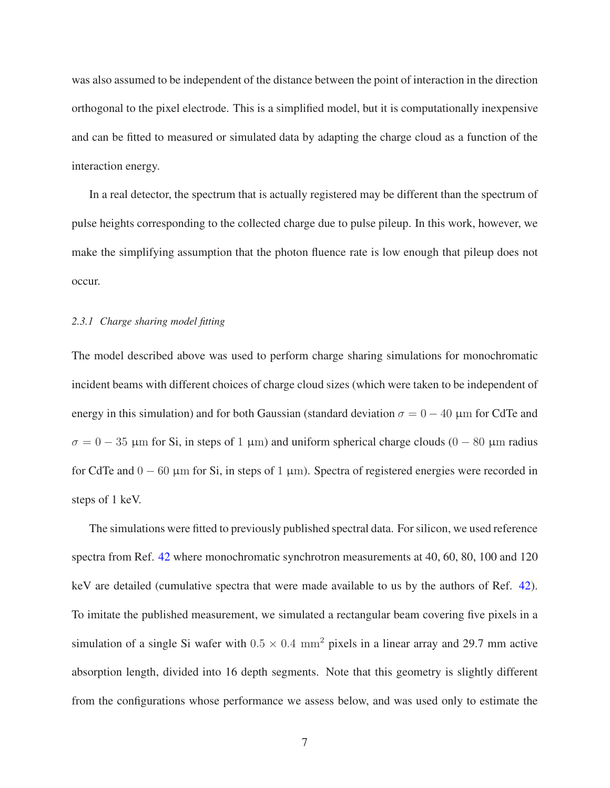was also assumed to be independent of the distance between the point of interaction in the direction orthogonal to the pixel electrode. This is a simplified model, but it is computationally inexpensive and can be fitted to measured or simulated data by adapting the charge cloud as a function of the interaction energy.

In a real detector, the spectrum that is actually registered may be different than the spectrum of pulse heights corresponding to the collected charge due to pulse pileup. In this work, however, we make the simplifying assumption that the photon fluence rate is low enough that pileup does not occur.

#### <span id="page-6-0"></span>*2.3.1 Charge sharing model fitting*

The model described above was used to perform charge sharing simulations for monochromatic incident beams with different choices of charge cloud sizes (which were taken to be independent of energy in this simulation) and for both Gaussian (standard deviation  $\sigma = 0 - 40 \mu m$  for CdTe and  $\sigma = 0 - 35$  µm for Si, in steps of 1 µm) and uniform spherical charge clouds (0 – 80 µm radius for CdTe and  $0 - 60 \mu$ m for Si, in steps of 1  $\mu$ m). Spectra of registered energies were recorded in steps of 1 keV.

The simulations were fitted to previously published spectral data. For silicon, we used reference spectra from Ref. [42](#page-50-3) where monochromatic synchrotron measurements at 40, 60, 80, 100 and 120 keV are detailed (cumulative spectra that were made available to us by the authors of Ref. [42\)](#page-50-3). To imitate the published measurement, we simulated a rectangular beam covering five pixels in a simulation of a single Si wafer with  $0.5 \times 0.4$  mm<sup>2</sup> pixels in a linear array and 29.7 mm active absorption length, divided into 16 depth segments. Note that this geometry is slightly different from the configurations whose performance we assess below, and was used only to estimate the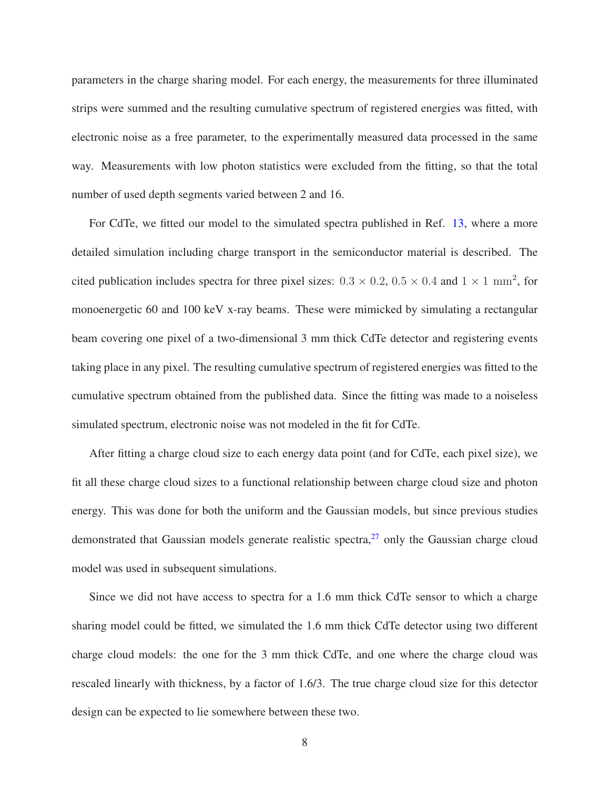parameters in the charge sharing model. For each energy, the measurements for three illuminated strips were summed and the resulting cumulative spectrum of registered energies was fitted, with electronic noise as a free parameter, to the experimentally measured data processed in the same way. Measurements with low photon statistics were excluded from the fitting, so that the total number of used depth segments varied between 2 and 16.

For CdTe, we fitted our model to the simulated spectra published in Ref. [13,](#page-47-1) where a more detailed simulation including charge transport in the semiconductor material is described. The cited publication includes spectra for three pixel sizes:  $0.3 \times 0.2$ ,  $0.5 \times 0.4$  and  $1 \times 1$  mm<sup>2</sup>, for monoenergetic 60 and 100 keV x-ray beams. These were mimicked by simulating a rectangular beam covering one pixel of a two-dimensional 3 mm thick CdTe detector and registering events taking place in any pixel. The resulting cumulative spectrum of registered energies was fitted to the cumulative spectrum obtained from the published data. Since the fitting was made to a noiseless simulated spectrum, electronic noise was not modeled in the fit for CdTe.

After fitting a charge cloud size to each energy data point (and for CdTe, each pixel size), we fit all these charge cloud sizes to a functional relationship between charge cloud size and photon energy. This was done for both the uniform and the Gaussian models, but since previous studies demonstrated that Gaussian models generate realistic spectra, $^{27}$  $^{27}$  $^{27}$  only the Gaussian charge cloud model was used in subsequent simulations.

Since we did not have access to spectra for a 1.6 mm thick CdTe sensor to which a charge sharing model could be fitted, we simulated the 1.6 mm thick CdTe detector using two different charge cloud models: the one for the 3 mm thick CdTe, and one where the charge cloud was rescaled linearly with thickness, by a factor of 1.6/3. The true charge cloud size for this detector design can be expected to lie somewhere between these two.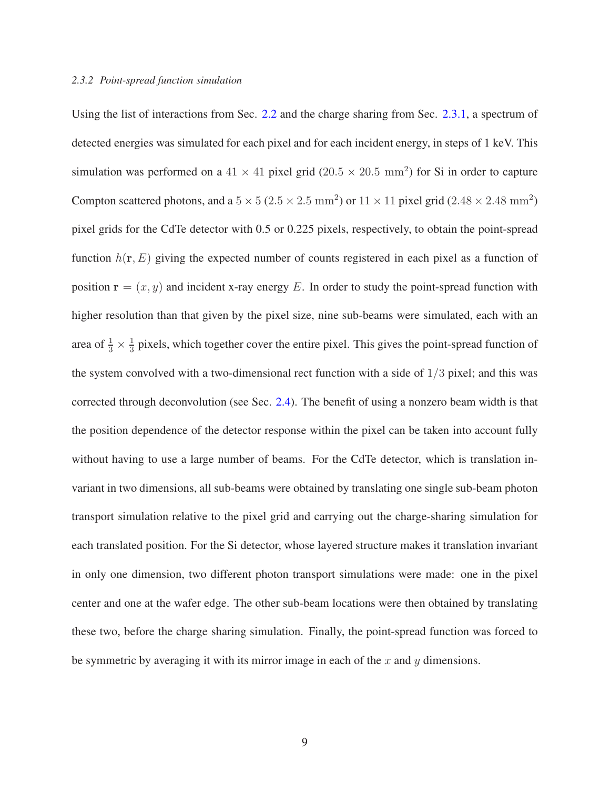#### <span id="page-8-0"></span>*2.3.2 Point-spread function simulation*

Using the list of interactions from Sec. [2.2](#page-5-0) and the charge sharing from Sec. [2.3.1,](#page-6-0) a spectrum of detected energies was simulated for each pixel and for each incident energy, in steps of 1 keV. This simulation was performed on a  $41 \times 41$  pixel grid ( $20.5 \times 20.5$  mm<sup>2</sup>) for Si in order to capture Compton scattered photons, and a  $5 \times 5 (2.5 \times 2.5 \text{ mm}^2)$  or  $11 \times 11$  pixel grid (2.48  $\times 2.48 \text{ mm}^2$ ) pixel grids for the CdTe detector with 0.5 or 0.225 pixels, respectively, to obtain the point-spread function  $h(r, E)$  giving the expected number of counts registered in each pixel as a function of position  $\mathbf{r} = (x, y)$  and incident x-ray energy E. In order to study the point-spread function with higher resolution than that given by the pixel size, nine sub-beams were simulated, each with an area of  $\frac{1}{3} \times \frac{1}{3}$  $\frac{1}{3}$  pixels, which together cover the entire pixel. This gives the point-spread function of the system convolved with a two-dimensional rect function with a side of  $1/3$  pixel; and this was corrected through deconvolution (see Sec. [2.4\)](#page-9-1). The benefit of using a nonzero beam width is that the position dependence of the detector response within the pixel can be taken into account fully without having to use a large number of beams. For the CdTe detector, which is translation invariant in two dimensions, all sub-beams were obtained by translating one single sub-beam photon transport simulation relative to the pixel grid and carrying out the charge-sharing simulation for each translated position. For the Si detector, whose layered structure makes it translation invariant in only one dimension, two different photon transport simulations were made: one in the pixel center and one at the wafer edge. The other sub-beam locations were then obtained by translating these two, before the charge sharing simulation. Finally, the point-spread function was forced to be symmetric by averaging it with its mirror image in each of the  $x$  and  $y$  dimensions.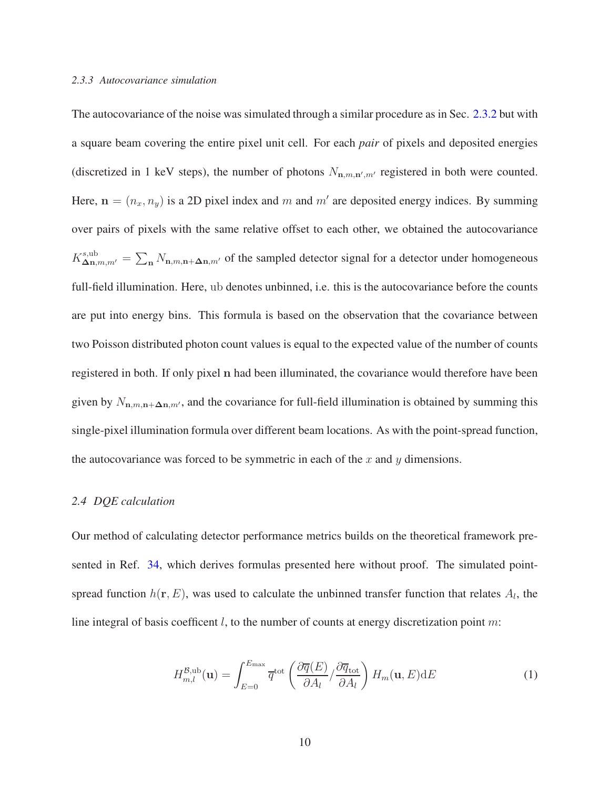#### <span id="page-9-0"></span>*2.3.3 Autocovariance simulation*

The autocovariance of the noise was simulated through a similar procedure as in Sec. [2.3.2](#page-8-0) but with a square beam covering the entire pixel unit cell. For each *pair* of pixels and deposited energies (discretized in 1 keV steps), the number of photons  $N_{n,m,n',m'}$  registered in both were counted. Here,  $\mathbf{n} = (n_x, n_y)$  is a 2D pixel index and m and m' are deposited energy indices. By summing over pairs of pixels with the same relative offset to each other, we obtained the autocovariance  $K_{\Delta \mathbf{n},m,m'}^{\text{s,ub}} = \sum_{\mathbf{n}} N_{\mathbf{n},m,\mathbf{n}+\Delta \mathbf{n},m'}$  of the sampled detector signal for a detector under homogeneous full-field illumination. Here, ub denotes unbinned, i.e. this is the autocovariance before the counts are put into energy bins. This formula is based on the observation that the covariance between two Poisson distributed photon count values is equal to the expected value of the number of counts registered in both. If only pixel n had been illuminated, the covariance would therefore have been given by  $N_{\mathbf{n},m,\mathbf{n}+\Delta\mathbf{n},m'}$ , and the covariance for full-field illumination is obtained by summing this single-pixel illumination formula over different beam locations. As with the point-spread function, the autocovariance was forced to be symmetric in each of the  $x$  and  $y$  dimensions.

#### <span id="page-9-1"></span>*2.4 DQE calculation*

Our method of calculating detector performance metrics builds on the theoretical framework presented in Ref. [34,](#page-49-4) which derives formulas presented here without proof. The simulated pointspread function  $h(\mathbf{r}, E)$ , was used to calculate the unbinned transfer function that relates  $A_l$ , the line integral of basis coefficent  $l$ , to the number of counts at energy discretization point  $m$ :

<span id="page-9-2"></span>
$$
H_{m,l}^{\mathcal{B},\text{ub}}(\mathbf{u}) = \int_{E=0}^{E_{\text{max}}} \overline{q}^{\text{tot}} \left( \frac{\partial \overline{q}(E)}{\partial A_l} / \frac{\partial \overline{q}_{\text{tot}}}{\partial A_l} \right) H_m(\mathbf{u}, E) \text{d}E \tag{1}
$$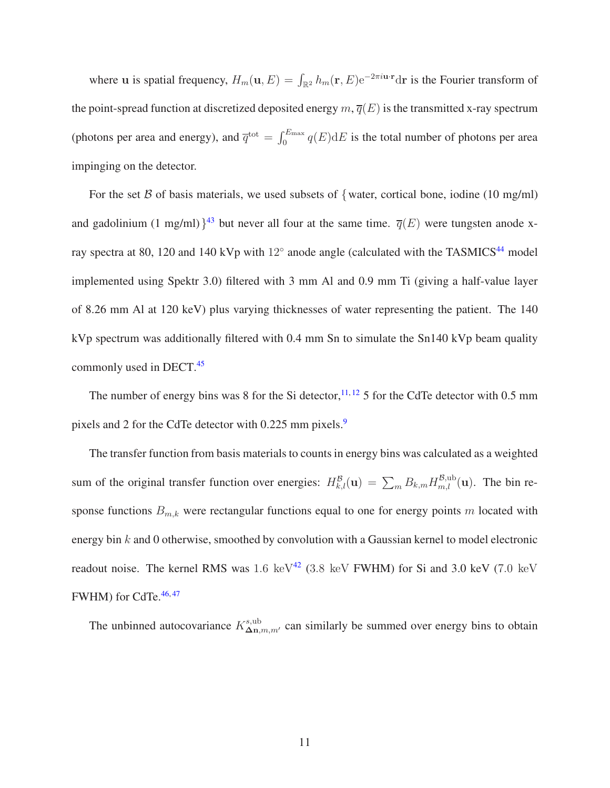where u is spatial frequency,  $H_m(\mathbf{u}, E) = \int_{\mathbb{R}^2} h_m(\mathbf{r}, E) e^{-2\pi i \mathbf{u} \cdot \mathbf{r}} d\mathbf{r}$  is the Fourier transform of the point-spread function at discretized deposited energy  $m, \overline{q}(E)$  is the transmitted x-ray spectrum (photons per area and energy), and  $\overline{q}^{tot} = \int_0^{E_{\text{max}}} q(E) dE$  is the total number of photons per area impinging on the detector.

For the set  $\beta$  of basis materials, we used subsets of {water, cortical bone, iodine (10 mg/ml) and gadolinium (1 mg/ml) $3^{43}$  $3^{43}$  $3^{43}$  but never all four at the same time.  $\overline{q}(E)$  were tungsten anode xray spectra at 80, 120 and 140 kVp with 12 $^{\circ}$  anode angle (calculated with the TASMICS<sup>[44](#page-50-5)</sup> model implemented using Spektr 3.0) filtered with 3 mm Al and 0.9 mm Ti (giving a half-value layer of 8.26 mm Al at 120 keV) plus varying thicknesses of water representing the patient. The 140 kVp spectrum was additionally filtered with 0.4 mm Sn to simulate the Sn140 kVp beam quality commonly used in DECT.[45](#page-50-6)

The number of energy bins was 8 for the Si detector,  $11, 12$  $11, 12$  $11, 12$  5 for the CdTe detector with 0.5 mm pixels and 2 for the CdTe detector with 0.225 mm pixels.<sup>[9](#page-46-7)</sup>

The transfer function from basis materials to counts in energy bins was calculated as a weighted sum of the original transfer function over energies:  $H_{k,l}^B(\mathbf{u}) = \sum_m B_{k,m} H_{m,l}^{B,\text{ub}}(\mathbf{u})$ . The bin response functions  $B_{m,k}$  were rectangular functions equal to one for energy points m located with energy bin  $k$  and 0 otherwise, smoothed by convolution with a Gaussian kernel to model electronic readout noise. The kernel RMS was  $1.6 \text{ keV}^{42}$  $1.6 \text{ keV}^{42}$  $1.6 \text{ keV}^{42}$  (3.8 keV FWHM) for Si and 3.0 keV (7.0 keV FWHM) for CdTe. $46,47$  $46,47$ 

The unbinned autocovariance  $K^s_{\Delta n,m,m'}$  can similarly be summed over energy bins to obtain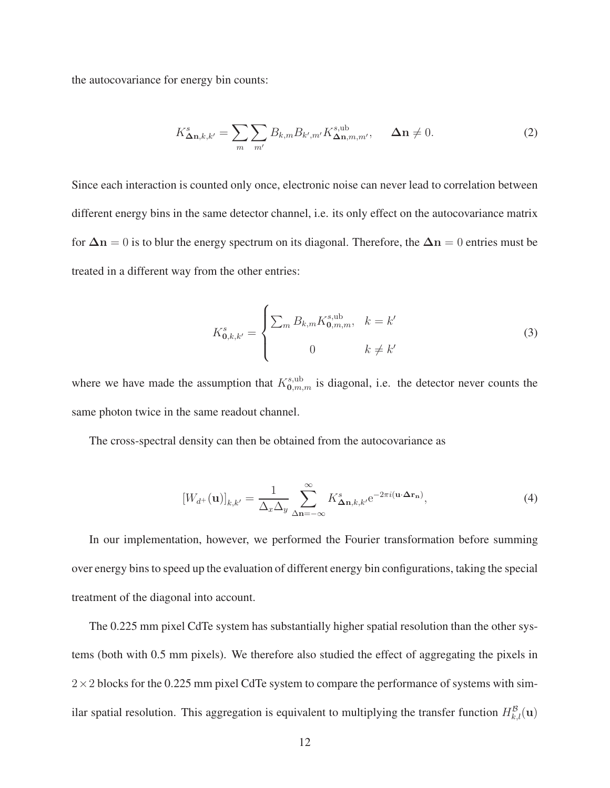the autocovariance for energy bin counts:

$$
K_{\mathbf{\Delta n},k,k'}^{s} = \sum_{m} \sum_{m'} B_{k,m} B_{k',m'} K_{\mathbf{\Delta n},m,m'}^{s,\text{ub}}, \quad \mathbf{\Delta n} \neq 0. \tag{2}
$$

Since each interaction is counted only once, electronic noise can never lead to correlation between different energy bins in the same detector channel, i.e. its only effect on the autocovariance matrix for  $\Delta n = 0$  is to blur the energy spectrum on its diagonal. Therefore, the  $\Delta n = 0$  entries must be treated in a different way from the other entries:

$$
K_{0,k,k'}^{s} = \begin{cases} \sum_{m} B_{k,m} K_{0,m,m}^{s,\text{ub}}, & k = k' \\ 0 & k \neq k' \end{cases}
$$
 (3)

where we have made the assumption that  $K_{0,m,m}^{s,\text{ub}}$  is diagonal, i.e. the detector never counts the same photon twice in the same readout channel.

<span id="page-11-0"></span>The cross-spectral density can then be obtained from the autocovariance as

$$
[W_{d+}(\mathbf{u})]_{k,k'} = \frac{1}{\Delta_x \Delta_y} \sum_{\Delta \mathbf{n} = -\infty}^{\infty} K_{\Delta \mathbf{n},k,k'}^s e^{-2\pi i (\mathbf{u} \cdot \Delta \mathbf{r}_\mathbf{n})},\tag{4}
$$

In our implementation, however, we performed the Fourier transformation before summing over energy bins to speed up the evaluation of different energy bin configurations, taking the special treatment of the diagonal into account.

The 0.225 mm pixel CdTe system has substantially higher spatial resolution than the other systems (both with 0.5 mm pixels). We therefore also studied the effect of aggregating the pixels in  $2 \times 2$  blocks for the 0.225 mm pixel CdTe system to compare the performance of systems with similar spatial resolution. This aggregation is equivalent to multiplying the transfer function  $H_{k,l}^{\beta}(\mathbf{u})$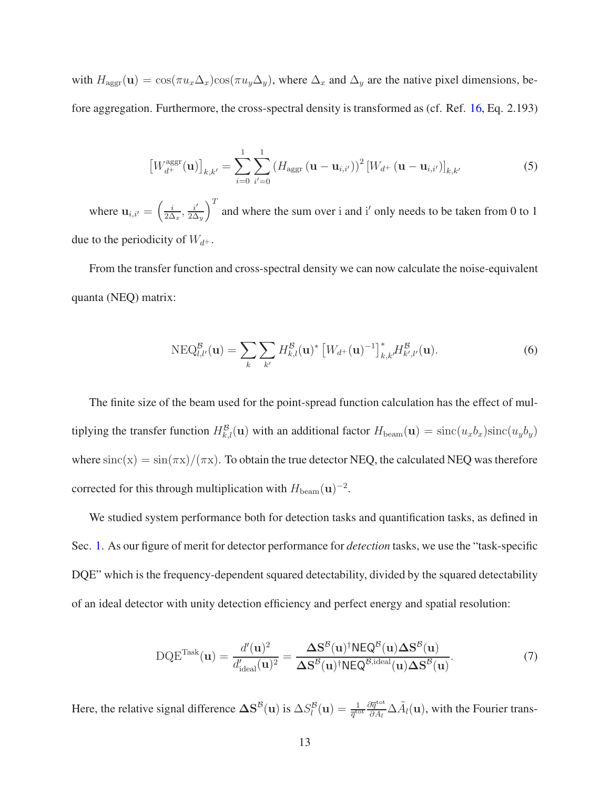with  $H_{\text{aggr}}(\mathbf{u}) = \cos(\pi u_x \Delta_x) \cos(\pi u_y \Delta_y)$ , where  $\Delta_x$  and  $\Delta_y$  are the native pixel dimensions, before aggregation. Furthermore, the cross-spectral density is transformed as (cf. Ref. [16,](#page-47-4) Eq. 2.193)

$$
\left[W_{d^{+}}^{\text{aggr}}(\mathbf{u})\right]_{k,k'} = \sum_{i=0}^{1} \sum_{i'=0}^{1} \left(H_{\text{aggr}}\left(\mathbf{u}-\mathbf{u}_{i,i'}\right)\right)^2 \left[W_{d^{+}}\left(\mathbf{u}-\mathbf{u}_{i,i'}\right)\right]_{k,k'}
$$
(5)

where  $\mathbf{u}_{i,i'} = \left(\frac{i}{2\Delta}\right)$  $\frac{i}{2\Delta_x}, \frac{i'}{2\Delta}$  $\frac{i'}{2\Delta_y}$  and where the sum over i and i' only needs to be taken from 0 to 1 due to the periodicity of  $W_{d+}$ .

From the transfer function and cross-spectral density we can now calculate the noise-equivalent quanta (NEQ) matrix:

<span id="page-12-0"></span>
$$
NEQ_{l,l'}^{\mathcal{B}}(\mathbf{u}) = \sum_{k} \sum_{k'} H_{k,l}^{\mathcal{B}}(\mathbf{u})^* \left[W_{d+}(\mathbf{u})^{-1}\right]_{k,k'}^* H_{k',l'}^{\mathcal{B}}(\mathbf{u}). \tag{6}
$$

The finite size of the beam used for the point-spread function calculation has the effect of multiplying the transfer function  $H_{k,l}^B(\mathbf{u})$  with an additional factor  $H_{\text{beam}}(\mathbf{u}) = \text{sinc}(u_x b_x) \text{sinc}(u_y b_y)$ where  $\text{sinc}(x) = \sin(\pi x)/(\pi x)$ . To obtain the true detector NEQ, the calculated NEQ was therefore corrected for this through multiplication with  $H_{\text{beam}}(\mathbf{u})^{-2}$ .

We studied system performance both for detection tasks and quantification tasks, as defined in Sec. [1.](#page-0-0) As our figure of merit for detector performance for *detection* tasks, we use the "task-specific DQE" which is the frequency-dependent squared detectability, divided by the squared detectability of an ideal detector with unity detection efficiency and perfect energy and spatial resolution:

<span id="page-12-1"></span>
$$
DQE^{Task}(\mathbf{u}) = \frac{d'(\mathbf{u})^2}{d'_{ideal}(\mathbf{u})^2} = \frac{\Delta \mathbf{S}^{\mathcal{B}}(\mathbf{u})^\dagger N EQ^{\mathcal{B}}(\mathbf{u}) \Delta \mathbf{S}^{\mathcal{B}}(\mathbf{u})}{\Delta \mathbf{S}^{\mathcal{B}}(\mathbf{u})^\dagger N EQ^{\mathcal{B},ideal}(\mathbf{u}) \Delta \mathbf{S}^{\mathcal{B}}(\mathbf{u})}.
$$
(7)

Here, the relative signal difference  $\Delta S^B(u)$  is  $\Delta S_l^B(u) = \frac{1}{\overline{q}^{tot}} \frac{\partial \overline{q}^{tot}}{\partial A_l}$  $\frac{\partial \overline{q}^{\text{tot}}}{\partial A_l} \Delta \tilde{A}_l(\mathbf{u})$ , with the Fourier trans-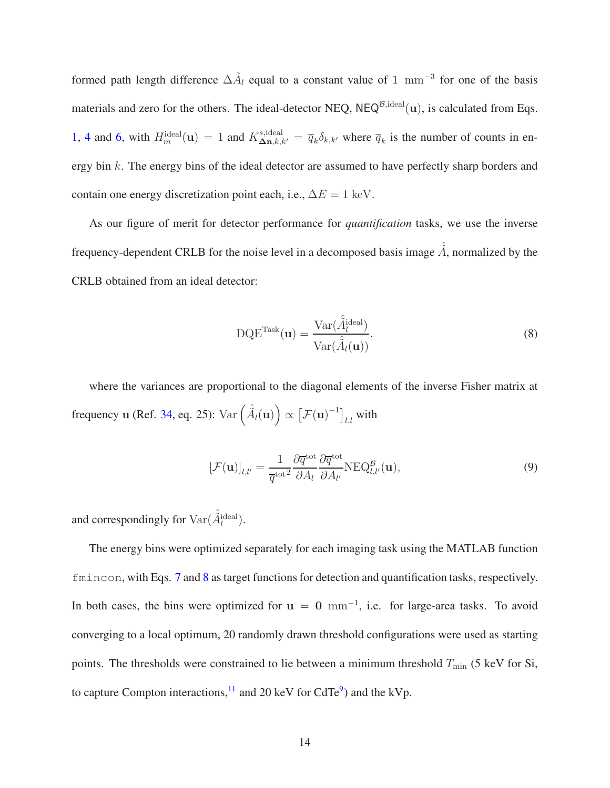formed path length difference  $\Delta \tilde{A}_l$  equal to a constant value of 1 mm<sup>-3</sup> for one of the basis materials and zero for the others. The ideal-detector NEQ,  $NEQ^{\beta, ideal}(u)$ , is calculated from Eqs. [1,](#page-9-2) [4](#page-11-0) and [6,](#page-12-0) with  $H_m^{\text{ideal}}(\mathbf{u}) = 1$  and  $K_{\Delta \mathbf{n},k,k'}^{s,\text{ideal}} = \overline{q}_k \delta_{k,k'}$  where  $\overline{q}_k$  is the number of counts in energy bin k. The energy bins of the ideal detector are assumed to have perfectly sharp borders and contain one energy discretization point each, i.e.,  $\Delta E = 1$  keV.

As our figure of merit for detector performance for *quantification* tasks, we use the inverse frequency-dependent CRLB for the noise level in a decomposed basis image  $\hat{\tilde{A}}$ , normalized by the CRLB obtained from an ideal detector:

<span id="page-13-1"></span><span id="page-13-0"></span>
$$
DQE^{Task}(\mathbf{u}) = \frac{\text{Var}(\hat{\tilde{A}}_l^{\text{ideal}})}{\text{Var}(\hat{\tilde{A}}_l(\mathbf{u}))},
$$
(8)

where the variances are proportional to the diagonal elements of the inverse Fisher matrix at frequency **u** (Ref. [34,](#page-49-4) eq. 25):  $\text{Var}\left(\hat{A}_{l}(\mathbf{u})\right) \propto \left[\mathcal{F}(\mathbf{u})^{-1}\right]_{l,l}$  with

$$
[\mathcal{F}(\mathbf{u})]_{l,l'} = \frac{1}{\overline{q}^{\text{tot}^2}} \frac{\partial \overline{q}^{\text{tot}}}{\partial A_l} \frac{\partial \overline{q}^{\text{tot}}}{\partial A_{l'}} \text{NEQ}_{l,l'}^{\mathcal{B}}(\mathbf{u}),\tag{9}
$$

and correspondingly for  $\text{Var}(\hat{\tilde{A}}_l^{\text{ideal}})$ .

The energy bins were optimized separately for each imaging task using the MATLAB function fmincon, with Eqs. [7](#page-12-1) and [8](#page-13-0) as target functions for detection and quantification tasks, respectively. In both cases, the bins were optimized for  $u = 0$  mm<sup>-1</sup>, i.e. for large-area tasks. To avoid converging to a local optimum, 20 randomly drawn threshold configurations were used as starting points. The thresholds were constrained to lie between a minimum threshold  $T_{\text{min}}$  (5 keV for Si, to capture Compton interactions,  $^{11}$  $^{11}$  $^{11}$  and 20 keV for CdTe<sup>[9](#page-46-7)</sup>) and the kVp.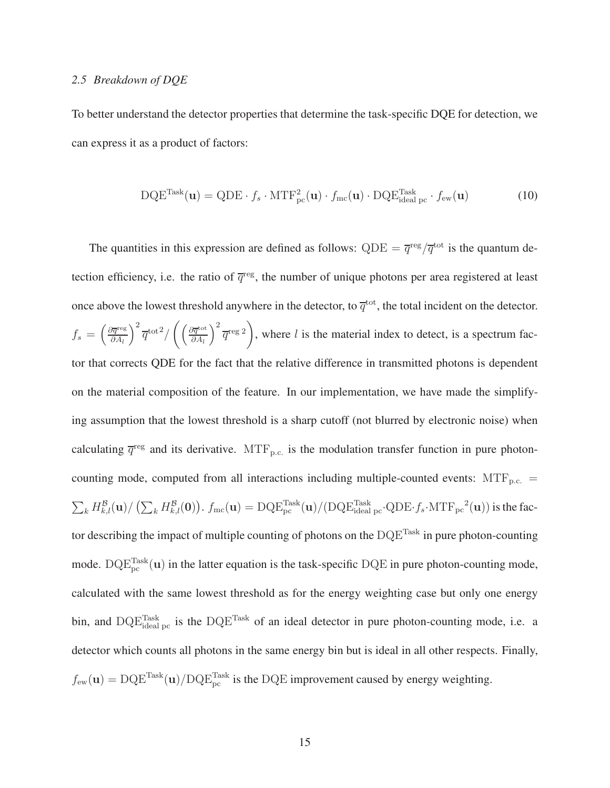### <span id="page-14-0"></span>*2.5 Breakdown of DQE*

To better understand the detector properties that determine the task-specific DQE for detection, we can express it as a product of factors:

$$
DQE^{Task}(\mathbf{u}) = QDE \cdot f_s \cdot MTF_{pc}^2(\mathbf{u}) \cdot f_{mc}(\mathbf{u}) \cdot DQE_{ideal\,pc}^{Task} \cdot f_{ew}(\mathbf{u})
$$
(10)

The quantities in this expression are defined as follows:  $QDE = \overline{q}^{\text{reg}}/\overline{q}^{\text{tot}}$  is the quantum detection efficiency, i.e. the ratio of  $\overline{q}^{\text{reg}}$ , the number of unique photons per area registered at least once above the lowest threshold anywhere in the detector, to  $\overline{q}^{\text{tot}}$ , the total incident on the detector.  $f_s = \left(\frac{\partial \overline{q}^{\text{reg}}}{\partial A_l}\right)$  $\partial A_l$  $\int^2 \overline{q}^{\rm tot2} / \left( \frac{\partial \overline{q}^{\rm tot}}{\partial A_{\rm L}} \right)$  $\partial A_l$  $\Big)^2 \overline{q}^{\text{reg }2}$ , where  $l$  is the material index to detect, is a spectrum factor that corrects QDE for the fact that the relative difference in transmitted photons is dependent on the material composition of the feature. In our implementation, we have made the simplifying assumption that the lowest threshold is a sharp cutoff (not blurred by electronic noise) when calculating  $\bar{q}^{\text{reg}}$  and its derivative. MTF<sub>p.c.</sub> is the modulation transfer function in pure photoncounting mode, computed from all interactions including multiple-counted events:  $MTF_{p.c.}$  =  $\sum_k H_{k,l}^{\mathcal{B}}(\mathbf{u}) / \left( \sum_k H_{k,l}^{\mathcal{B}}(\mathbf{0}) \right)$ .  $f_{\text{mc}}(\mathbf{u}) = \text{DQE}_{\text{pc}}^{\text{Task}}(\mathbf{u}) / (\text{DQE}_{\text{ideal pc}}^{\text{Task}} \cdot \text{QDE} \cdot f_s \cdot \text{MTF}_{\text{pc}}^2(\mathbf{u}))$  is the factor describing the impact of multiple counting of photons on the  $DQE^{Task}$  in pure photon-counting mode.  $\text{DQE}_{\text{pc}}^{\text{Task}}(u)$  in the latter equation is the task-specific DQE in pure photon-counting mode, calculated with the same lowest threshold as for the energy weighting case but only one energy bin, and  $\text{DQE}_{\text{ideal pc}}^{\text{Task}}$  is the  $\text{DQE}^{\text{Task}}$  of an ideal detector in pure photon-counting mode, i.e. a detector which counts all photons in the same energy bin but is ideal in all other respects. Finally,  $f_{ew}(\mathbf{u}) = \text{DQE}^{\text{Task}}(\mathbf{u}) / \text{DQE}^{\text{Task}}$  is the DQE improvement caused by energy weighting.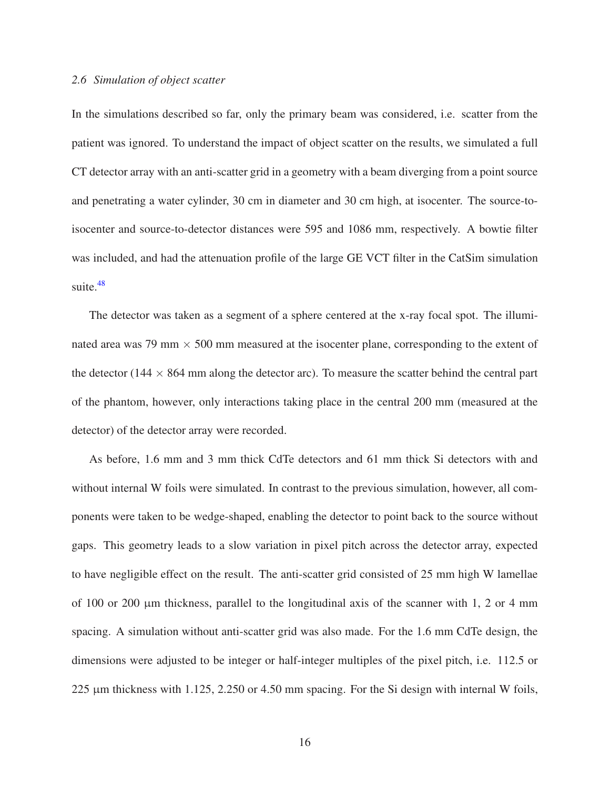#### *2.6 Simulation of object scatter*

In the simulations described so far, only the primary beam was considered, i.e. scatter from the patient was ignored. To understand the impact of object scatter on the results, we simulated a full CT detector array with an anti-scatter grid in a geometry with a beam diverging from a point source and penetrating a water cylinder, 30 cm in diameter and 30 cm high, at isocenter. The source-toisocenter and source-to-detector distances were 595 and 1086 mm, respectively. A bowtie filter was included, and had the attenuation profile of the large GE VCT filter in the CatSim simulation suite. $48$ 

The detector was taken as a segment of a sphere centered at the x-ray focal spot. The illuminated area was 79 mm  $\times$  500 mm measured at the isocenter plane, corresponding to the extent of the detector (144  $\times$  864 mm along the detector arc). To measure the scatter behind the central part of the phantom, however, only interactions taking place in the central 200 mm (measured at the detector) of the detector array were recorded.

As before, 1.6 mm and 3 mm thick CdTe detectors and 61 mm thick Si detectors with and without internal W foils were simulated. In contrast to the previous simulation, however, all components were taken to be wedge-shaped, enabling the detector to point back to the source without gaps. This geometry leads to a slow variation in pixel pitch across the detector array, expected to have negligible effect on the result. The anti-scatter grid consisted of 25 mm high W lamellae of 100 or 200  $\mu$ m thickness, parallel to the longitudinal axis of the scanner with 1, 2 or 4 mm spacing. A simulation without anti-scatter grid was also made. For the 1.6 mm CdTe design, the dimensions were adjusted to be integer or half-integer multiples of the pixel pitch, i.e. 112.5 or 225 µm thickness with 1.125, 2.250 or 4.50 mm spacing. For the Si design with internal W foils,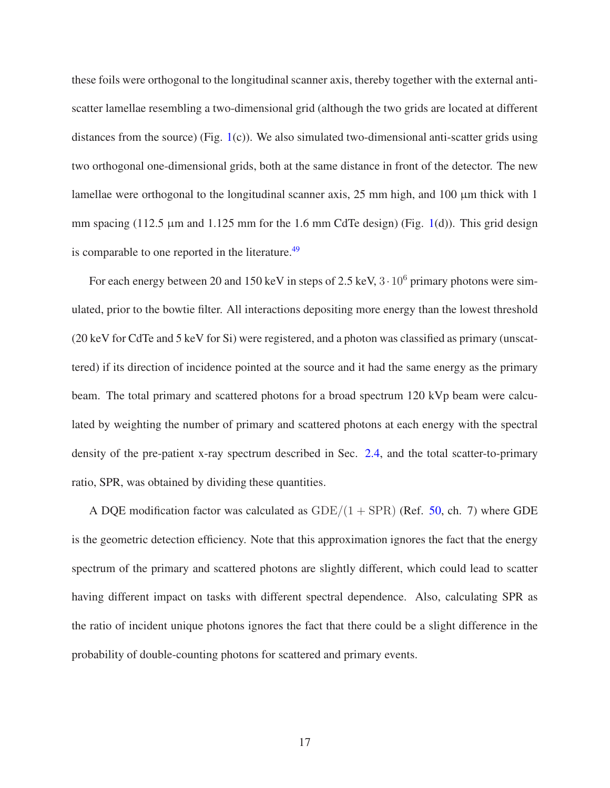these foils were orthogonal to the longitudinal scanner axis, thereby together with the external antiscatter lamellae resembling a two-dimensional grid (although the two grids are located at different distances from the source) (Fig.  $1(c)$  $1(c)$ ). We also simulated two-dimensional anti-scatter grids using two orthogonal one-dimensional grids, both at the same distance in front of the detector. The new lamellae were orthogonal to the longitudinal scanner axis,  $25 \text{ mm}$  high, and  $100 \mu \text{m}$  thick with 1 mm spacing (112.5  $\mu$ m and 1.125 mm for the 1.6 mm CdTe design) (Fig. [1\(](#page-3-0)d)). This grid design is comparable to one reported in the literature.<sup>[49](#page-51-2)</sup>

For each energy between 20 and 150 keV in steps of 2.5 keV,  $3 \cdot 10^6$  primary photons were simulated, prior to the bowtie filter. All interactions depositing more energy than the lowest threshold (20 keV for CdTe and 5 keV for Si) were registered, and a photon was classified as primary (unscattered) if its direction of incidence pointed at the source and it had the same energy as the primary beam. The total primary and scattered photons for a broad spectrum 120 kVp beam were calculated by weighting the number of primary and scattered photons at each energy with the spectral density of the pre-patient x-ray spectrum described in Sec. [2.4,](#page-9-1) and the total scatter-to-primary ratio, SPR, was obtained by dividing these quantities.

A DQE modification factor was calculated as  $GDE/(1 + SPR)$  (Ref. [50,](#page-51-3) ch. 7) where GDE is the geometric detection efficiency. Note that this approximation ignores the fact that the energy spectrum of the primary and scattered photons are slightly different, which could lead to scatter having different impact on tasks with different spectral dependence. Also, calculating SPR as the ratio of incident unique photons ignores the fact that there could be a slight difference in the probability of double-counting photons for scattered and primary events.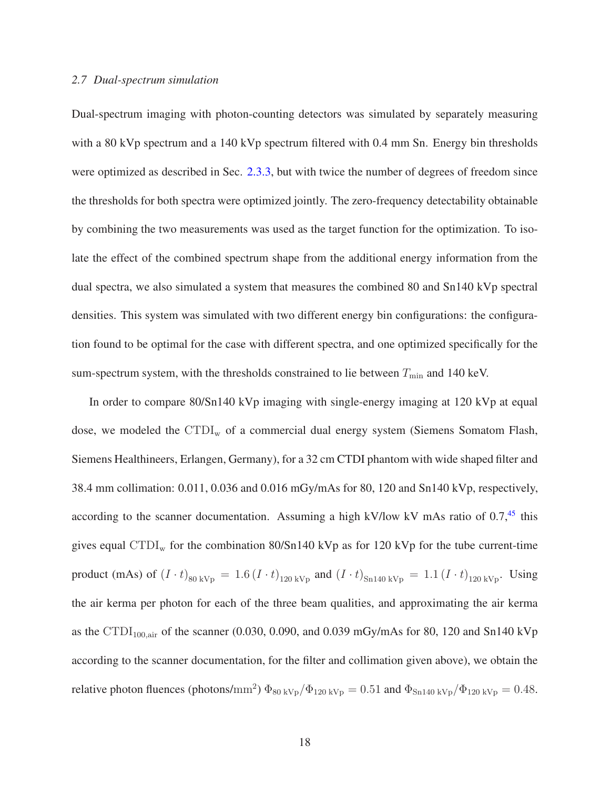### *2.7 Dual-spectrum simulation*

Dual-spectrum imaging with photon-counting detectors was simulated by separately measuring with a 80 kVp spectrum and a 140 kVp spectrum filtered with 0.4 mm Sn. Energy bin thresholds were optimized as described in Sec. [2.3.3,](#page-9-0) but with twice the number of degrees of freedom since the thresholds for both spectra were optimized jointly. The zero-frequency detectability obtainable by combining the two measurements was used as the target function for the optimization. To isolate the effect of the combined spectrum shape from the additional energy information from the dual spectra, we also simulated a system that measures the combined 80 and Sn140 kVp spectral densities. This system was simulated with two different energy bin configurations: the configuration found to be optimal for the case with different spectra, and one optimized specifically for the sum-spectrum system, with the thresholds constrained to lie between  $T_{\min}$  and 140 keV.

In order to compare 80/Sn140 kVp imaging with single-energy imaging at 120 kVp at equal dose, we modeled the  $\text{CTDI}_{w}$  of a commercial dual energy system (Siemens Somatom Flash, Siemens Healthineers, Erlangen, Germany), for a 32 cm CTDI phantom with wide shaped filter and 38.4 mm collimation: 0.011, 0.036 and 0.016 mGy/mAs for 80, 120 and Sn140 kVp, respectively, according to the scanner documentation. Assuming a high kV/low kV mAs ratio of  $0.7<sup>45</sup>$  $0.7<sup>45</sup>$  $0.7<sup>45</sup>$  this gives equal  $\text{CTDI}_{w}$  for the combination 80/Sn140 kVp as for 120 kVp for the tube current-time product (mAs) of  $(I \cdot t)_{80 \text{ kVp}} = 1.6 (I \cdot t)_{120 \text{ kVp}}$  and  $(I \cdot t)_{\text{Sn140 kVp}} = 1.1 (I \cdot t)_{120 \text{ kVp}}$ . Using the air kerma per photon for each of the three beam qualities, and approximating the air kerma as the CTDI<sub>100,air</sub> of the scanner (0.030, 0.090, and 0.039 mGy/mAs for 80, 120 and Sn140 kVp according to the scanner documentation, for the filter and collimation given above), we obtain the relative photon fluences (photons/mm<sup>2</sup>)  $\Phi_{80 \text{ kVp}}/\Phi_{120 \text{ kVp}} = 0.51$  and  $\Phi_{\text{Sn140 kVp}}/\Phi_{120 \text{ kVp}} = 0.48$ .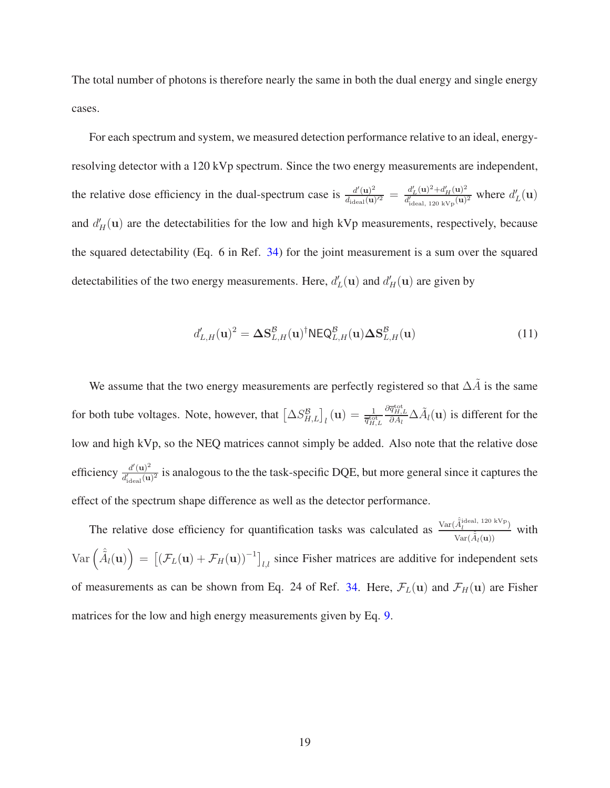The total number of photons is therefore nearly the same in both the dual energy and single energy cases.

For each spectrum and system, we measured detection performance relative to an ideal, energyresolving detector with a 120 kVp spectrum. Since the two energy measurements are independent, the relative dose efficiency in the dual-spectrum case is  $\frac{d'(u)^2}{dx''(u)}$  $\frac{d'(\mathbf{u})^2}{d_{\text{ideal}}(\mathbf{u})'^2} = \frac{d'_L(\mathbf{u})^2 + d'_H(\mathbf{u})^2}{d'_{\text{ideal}} + 20 \text{ kV}_{\text{D}}(\mathbf{u})}$  $\frac{d'_{L}(\mathbf{u})^2 + d'_{H}(\mathbf{u})^2}{d'_{\text{ideal, 120 kVp}}(\mathbf{u})^2}$  where  $d'_{L}(\mathbf{u})$ and  $d'_{H}(u)$  are the detectabilities for the low and high kVp measurements, respectively, because the squared detectability (Eq. 6 in Ref. [34\)](#page-49-4) for the joint measurement is a sum over the squared detectabilities of the two energy measurements. Here,  $d'_{L}(\mathbf{u})$  and  $d'_{H}(\mathbf{u})$  are given by

$$
d'_{L,H}(\mathbf{u})^2 = \Delta \mathbf{S}_{L,H}^{\mathcal{B}}(\mathbf{u})^\dagger \mathsf{NEQ}_{L,H}^{\mathcal{B}}(\mathbf{u}) \Delta \mathbf{S}_{L,H}^{\mathcal{B}}(\mathbf{u}) \tag{11}
$$

We assume that the two energy measurements are perfectly registered so that  $\Delta \tilde{A}$  is the same for both tube voltages. Note, however, that  $\left[\Delta S_{H,L}^B\right]_l(\mathbf{u}) = \frac{1}{\overline{q}_{H,L}^{\text{tot}}}$  $\frac{\partial \overline{q}_{H,L}^{\text{tot}}}{\partial A_l} \Delta \tilde{A}_l(\mathbf{u})$  is different for the low and high kVp, so the NEQ matrices cannot simply be added. Also note that the relative dose efficiency  $\frac{d'(\mathbf{u})^2}{d'(\mathbf{u})}$  $\frac{d(\mathbf{u})^2}{d'_{\text{ideal}}(\mathbf{u})^2}$  is analogous to the the task-specific DQE, but more general since it captures the effect of the spectrum shape difference as well as the detector performance.

The relative dose efficiency for quantification tasks was calculated as  $\frac{\text{Var}(\hat{A}_l^{\text{ideal, 120 kVp}})}{\text{Var}(\hat{A}_l^{\text{ideal, 120 kVp}})}$  $\frac{A_l}{\text{Var}(\hat{A}_l(\mathbf{u}))}$  with  $\text{Var}\left(\hat{A}_{l}(\mathbf{u})\right) = \left[\left(\mathcal{F}_{L}(\mathbf{u}) + \mathcal{F}_{H}(\mathbf{u})\right)^{-1}\right]_{l,l}$  since Fisher matrices are additive for independent sets of measurements as can be shown from Eq. 24 of Ref. [34.](#page-49-4) Here,  $\mathcal{F}_L(\mathbf{u})$  and  $\mathcal{F}_H(\mathbf{u})$  are Fisher matrices for the low and high energy measurements given by Eq. [9.](#page-13-1)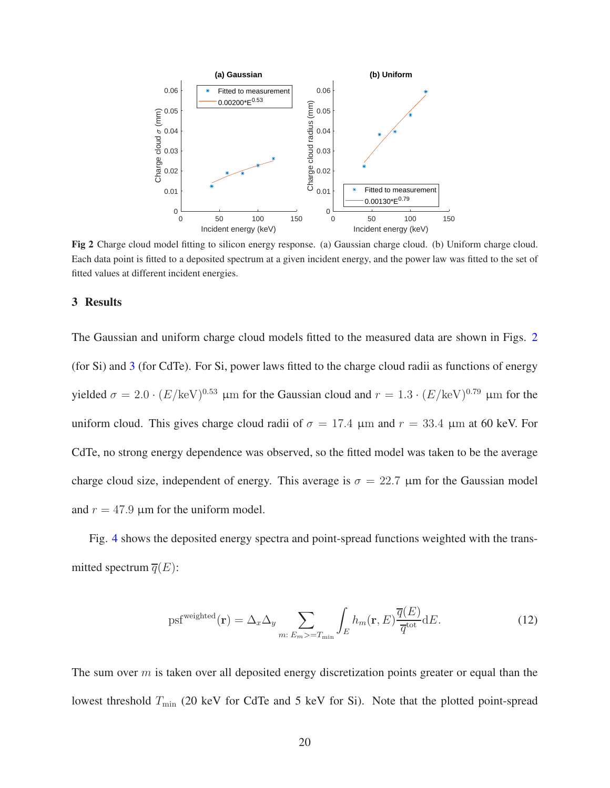

<span id="page-19-0"></span>Fig 2 Charge cloud model fitting to silicon energy response. (a) Gaussian charge cloud. (b) Uniform charge cloud. Each data point is fitted to a deposited spectrum at a given incident energy, and the power law was fitted to the set of fitted values at different incident energies.

## 3 Results

The Gaussian and uniform charge cloud models fitted to the measured data are shown in Figs. [2](#page-19-0) (for Si) and [3](#page-20-0) (for CdTe). For Si, power laws fitted to the charge cloud radii as functions of energy yielded  $\sigma = 2.0 \cdot (E/\text{keV})^{0.53}$  µm for the Gaussian cloud and  $r = 1.3 \cdot (E/\text{keV})^{0.79}$  µm for the uniform cloud. This gives charge cloud radii of  $\sigma = 17.4 \mu m$  and  $r = 33.4 \mu m$  at 60 keV. For CdTe, no strong energy dependence was observed, so the fitted model was taken to be the average charge cloud size, independent of energy. This average is  $\sigma = 22.7 \mu m$  for the Gaussian model and  $r = 47.9$  µm for the uniform model.

Fig. [4](#page-21-0) shows the deposited energy spectra and point-spread functions weighted with the transmitted spectrum  $\overline{q}(E)$ :

psf<sup>weighted</sup>(**r**) = 
$$
\Delta_x \Delta_y
$$
  $\sum_{m: E_m > T_{\text{min}}} \int_E h_m(\mathbf{r}, E) \frac{\overline{q}(E)}{\overline{q}^{\text{tot}}} dE.$  (12)

The sum over  $m$  is taken over all deposited energy discretization points greater or equal than the lowest threshold  $T_{\text{min}}$  (20 keV for CdTe and 5 keV for Si). Note that the plotted point-spread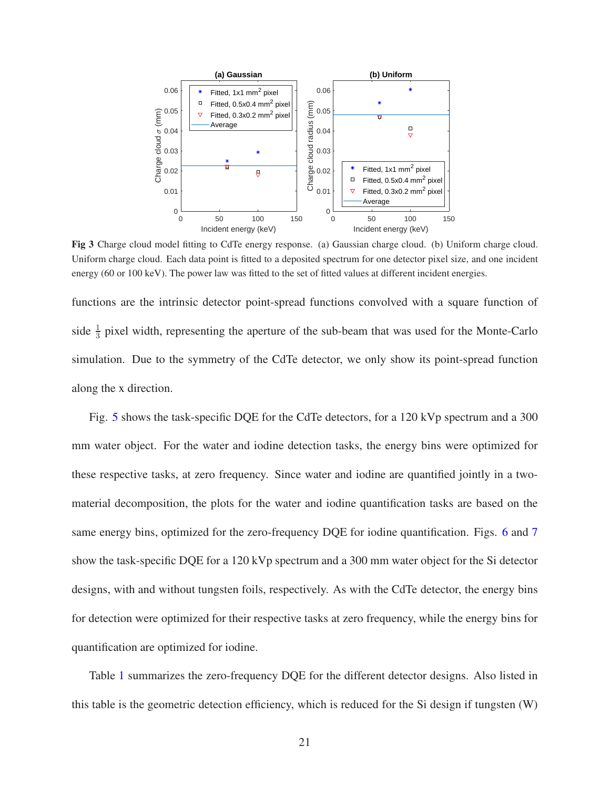

<span id="page-20-0"></span>Fig 3 Charge cloud model fitting to CdTe energy response. (a) Gaussian charge cloud. (b) Uniform charge cloud. Uniform charge cloud. Each data point is fitted to a deposited spectrum for one detector pixel size, and one incident energy (60 or 100 keV). The power law was fitted to the set of fitted values at different incident energies.

functions are the intrinsic detector point-spread functions convolved with a square function of side  $\frac{1}{3}$  pixel width, representing the aperture of the sub-beam that was used for the Monte-Carlo simulation. Due to the symmetry of the CdTe detector, we only show its point-spread function along the x direction.

Fig. [5](#page-22-0) shows the task-specific DQE for the CdTe detectors, for a 120 kVp spectrum and a 300 mm water object. For the water and iodine detection tasks, the energy bins were optimized for these respective tasks, at zero frequency. Since water and iodine are quantified jointly in a twomaterial decomposition, the plots for the water and iodine quantification tasks are based on the same energy bins, optimized for the zero-frequency DQE for iodine quantification. Figs. [6](#page-23-0) and [7](#page-24-0) show the task-specific DQE for a 120 kVp spectrum and a 300 mm water object for the Si detector designs, with and without tungsten foils, respectively. As with the CdTe detector, the energy bins for detection were optimized for their respective tasks at zero frequency, while the energy bins for quantification are optimized for iodine.

Table [1](#page-23-1) summarizes the zero-frequency DQE for the different detector designs. Also listed in this table is the geometric detection efficiency, which is reduced for the Si design if tungsten (W)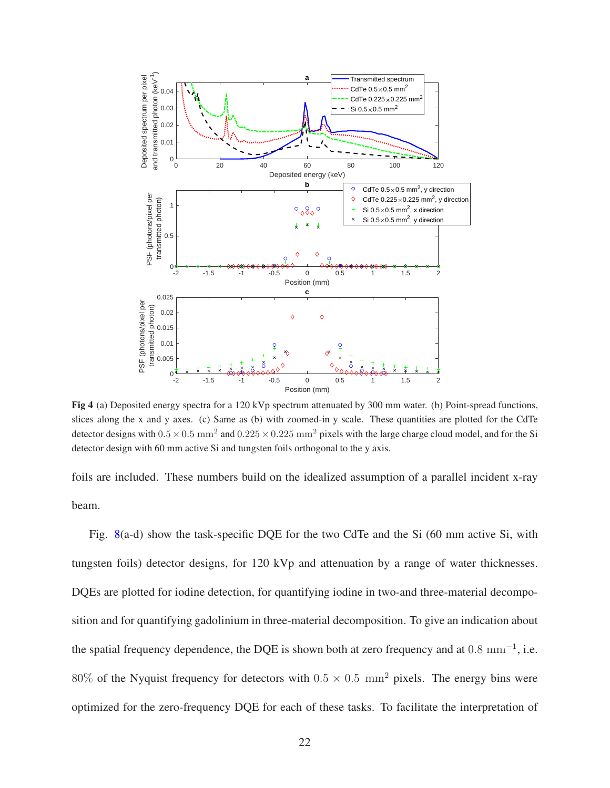

<span id="page-21-0"></span>Fig 4 (a) Deposited energy spectra for a 120 kVp spectrum attenuated by 300 mm water. (b) Point-spread functions, slices along the x and y axes. (c) Same as (b) with zoomed-in y scale. These quantities are plotted for the CdTe detector designs with  $0.5 \times 0.5$  mm<sup>2</sup> and  $0.225 \times 0.225$  mm<sup>2</sup> pixels with the large charge cloud model, and for the Si detector design with 60 mm active Si and tungsten foils orthogonal to the y axis.

foils are included. These numbers build on the idealized assumption of a parallel incident x-ray beam.

Fig. [8\(](#page-25-0)a-d) show the task-specific DQE for the two CdTe and the Si (60 mm active Si, with tungsten foils) detector designs, for 120 kVp and attenuation by a range of water thicknesses. DQEs are plotted for iodine detection, for quantifying iodine in two-and three-material decomposition and for quantifying gadolinium in three-material decomposition. To give an indication about the spatial frequency dependence, the DQE is shown both at zero frequency and at  $0.8 \text{ mm}^{-1}$ , i.e. 80% of the Nyquist frequency for detectors with  $0.5 \times 0.5$  mm<sup>2</sup> pixels. The energy bins were optimized for the zero-frequency DQE for each of these tasks. To facilitate the interpretation of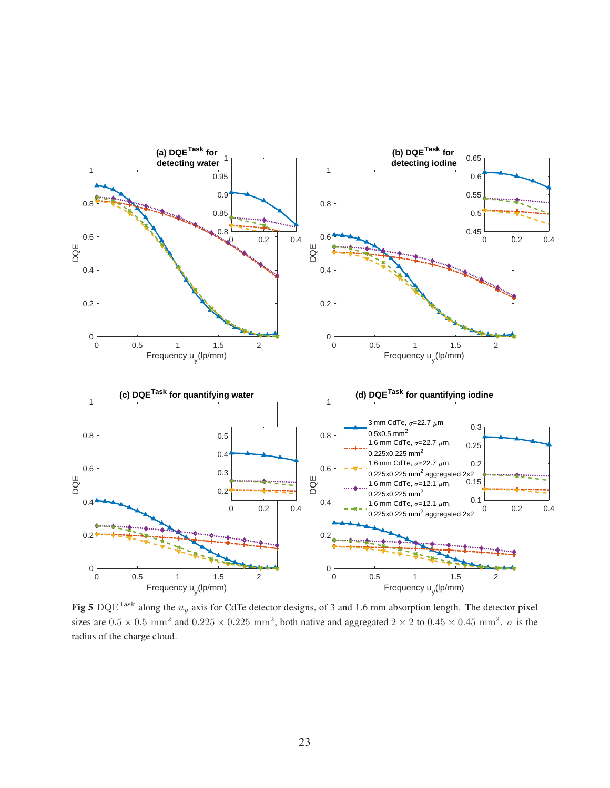

<span id="page-22-0"></span>Fig 5 DQE<sup>Task</sup> along the  $u_y$  axis for CdTe detector designs, of 3 and 1.6 mm absorption length. The detector pixel sizes are  $0.5 \times 0.5$  mm<sup>2</sup> and  $0.225 \times 0.225$  mm<sup>2</sup>, both native and aggregated  $2 \times 2$  to  $0.45 \times 0.45$  mm<sup>2</sup>.  $\sigma$  is the radius of the charge cloud.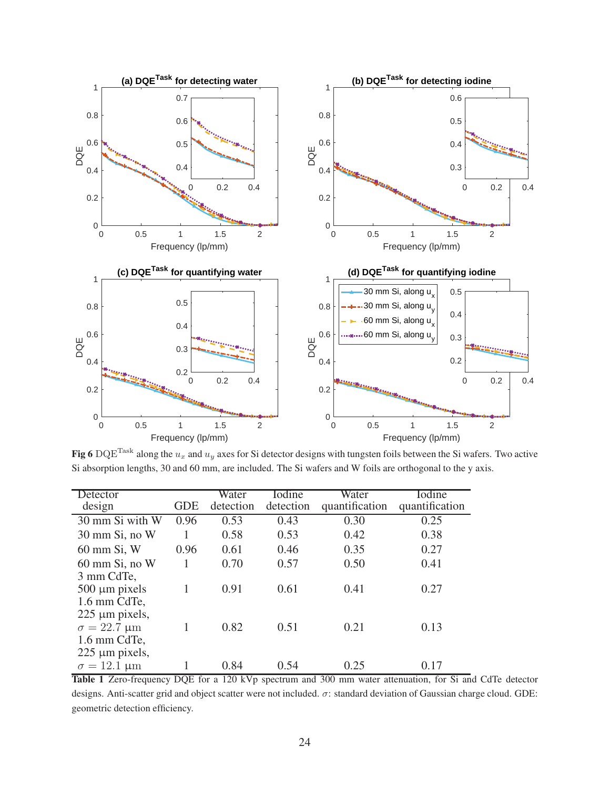

<span id="page-23-0"></span>Fig 6 DQE<sup>Task</sup> along the  $u_x$  and  $u_y$  axes for Si detector designs with tungsten foils between the Si wafers. Two active Si absorption lengths, 30 and 60 mm, are included. The Si wafers and W foils are orthogonal to the y axis.

| Detector<br>design                                         | GDE  | Water<br>detection | Iodine<br>detection | Water<br>quantification | Iodine<br>quantification |
|------------------------------------------------------------|------|--------------------|---------------------|-------------------------|--------------------------|
| 30 mm Si with W                                            | 0.96 | 0.53               | 0.43                | 0.30                    | 0.25                     |
| $30 \text{ mm }$ Si, no W                                  |      | 0.58               | 0.53                | 0.42                    | 0.38                     |
| $60$ mm Si, W                                              | 0.96 | 0.61               | 0.46                | 0.35                    | 0.27                     |
| $60$ mm Si, no W                                           |      | 0.70               | 0.57                | 0.50                    | 0.41                     |
| 3 mm CdTe,                                                 |      |                    |                     |                         |                          |
| $500 \mu m$ pixels                                         | 1    | 0.91               | 0.61                | 0.41                    | 0.27                     |
| 1.6 mm CdTe,                                               |      |                    |                     |                         |                          |
| $225 \mu m$ pixels,                                        |      |                    |                     |                         |                          |
| $\sigma = 22.7 \text{ }\mu\text{m}$                        | 1    | 0.82               | 0.51                | 0.21                    | 0.13                     |
| 1.6 mm CdTe,                                               |      |                    |                     |                         |                          |
| $225 \mu m$ pixels,<br>$\sigma = 12.1 \text{ }\mu\text{m}$ |      | 0.84               | 0.54                | 0.25                    | 0.17                     |
|                                                            |      |                    |                     |                         |                          |

<span id="page-23-1"></span>Table 1 Zero-frequency DQE for a 120 kVp spectrum and 300 mm water attenuation, for Si and CdTe detector designs. Anti-scatter grid and object scatter were not included. σ: standard deviation of Gaussian charge cloud. GDE: geometric detection efficiency.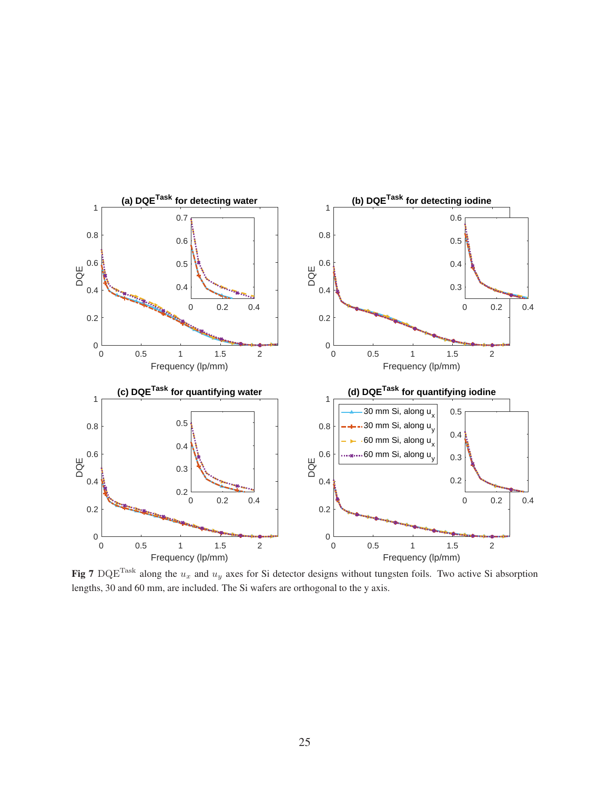

<span id="page-24-0"></span>Fig 7 DQE<sup>Task</sup> along the  $u_x$  and  $u_y$  axes for Si detector designs without tungsten foils. Two active Si absorption lengths, 30 and 60 mm, are included. The Si wafers are orthogonal to the y axis.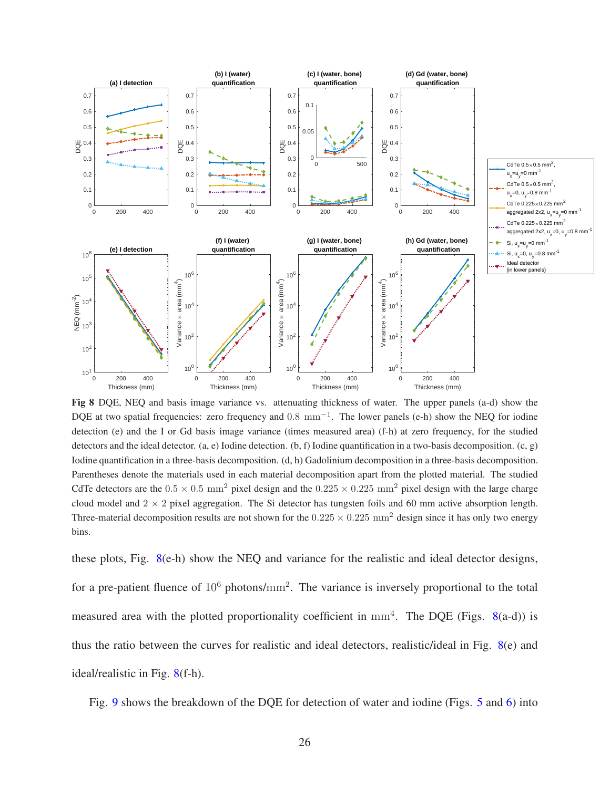

<span id="page-25-0"></span>Fig 8 DQE, NEQ and basis image variance vs. attenuating thickness of water. The upper panels (a-d) show the DQE at two spatial frequencies: zero frequency and 0.8 mm<sup>-1</sup>. The lower panels (e-h) show the NEQ for iodine detection (e) and the I or Gd basis image variance (times measured area) (f-h) at zero frequency, for the studied detectors and the ideal detector. (a, e) Iodine detection. (b, f) Iodine quantification in a two-basis decomposition. (c, g) Iodine quantification in a three-basis decomposition. (d, h) Gadolinium decomposition in a three-basis decomposition. Parentheses denote the materials used in each material decomposition apart from the plotted material. The studied CdTe detectors are the  $0.5 \times 0.5$  mm<sup>2</sup> pixel design and the  $0.225 \times 0.225$  mm<sup>2</sup> pixel design with the large charge cloud model and  $2 \times 2$  pixel aggregation. The Si detector has tungsten foils and 60 mm active absorption length. Three-material decomposition results are not shown for the  $0.225 \times 0.225$  mm<sup>2</sup> design since it has only two energy bins.

these plots, Fig. [8\(](#page-25-0)e-h) show the NEQ and variance for the realistic and ideal detector designs, for a pre-patient fluence of  $10^6$  photons/mm<sup>2</sup>. The variance is inversely proportional to the total measured area with the plotted proportionality coefficient in  $mm<sup>4</sup>$ . The DQE (Figs. [8\(](#page-25-0)a-d)) is thus the ratio between the curves for realistic and ideal detectors, realistic/ideal in Fig. [8\(](#page-25-0)e) and ideal/realistic in Fig. [8\(](#page-25-0)f-h).

Fig. [9](#page-27-0) shows the breakdown of the DQE for detection of water and iodine (Figs. [5](#page-22-0) and [6\)](#page-23-0) into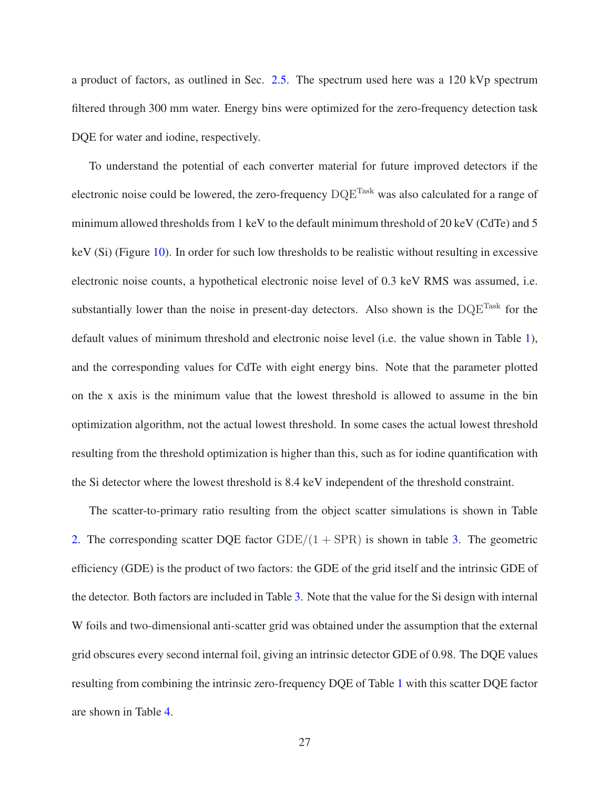a product of factors, as outlined in Sec. [2.5.](#page-14-0) The spectrum used here was a 120 kVp spectrum filtered through 300 mm water. Energy bins were optimized for the zero-frequency detection task DQE for water and iodine, respectively.

To understand the potential of each converter material for future improved detectors if the electronic noise could be lowered, the zero-frequency  $DQE^{Task}$  was also calculated for a range of minimum allowed thresholds from 1 keV to the default minimum threshold of 20 keV (CdTe) and 5 keV (Si) (Figure [10\)](#page-28-0). In order for such low thresholds to be realistic without resulting in excessive electronic noise counts, a hypothetical electronic noise level of 0.3 keV RMS was assumed, i.e. substantially lower than the noise in present-day detectors. Also shown is the  $DQE^{Task}$  for the default values of minimum threshold and electronic noise level (i.e. the value shown in Table [1\)](#page-23-1), and the corresponding values for CdTe with eight energy bins. Note that the parameter plotted on the x axis is the minimum value that the lowest threshold is allowed to assume in the bin optimization algorithm, not the actual lowest threshold. In some cases the actual lowest threshold resulting from the threshold optimization is higher than this, such as for iodine quantification with the Si detector where the lowest threshold is 8.4 keV independent of the threshold constraint.

The scatter-to-primary ratio resulting from the object scatter simulations is shown in Table [2.](#page-27-1) The corresponding scatter DQE factor  $GDE/(1 + SPR)$  is shown in table [3.](#page-29-0) The geometric efficiency (GDE) is the product of two factors: the GDE of the grid itself and the intrinsic GDE of the detector. Both factors are included in Table [3.](#page-29-0) Note that the value for the Si design with internal W foils and two-dimensional anti-scatter grid was obtained under the assumption that the external grid obscures every second internal foil, giving an intrinsic detector GDE of 0.98. The DQE values resulting from combining the intrinsic zero-frequency DQE of Table [1](#page-23-1) with this scatter DQE factor are shown in Table [4.](#page-29-1)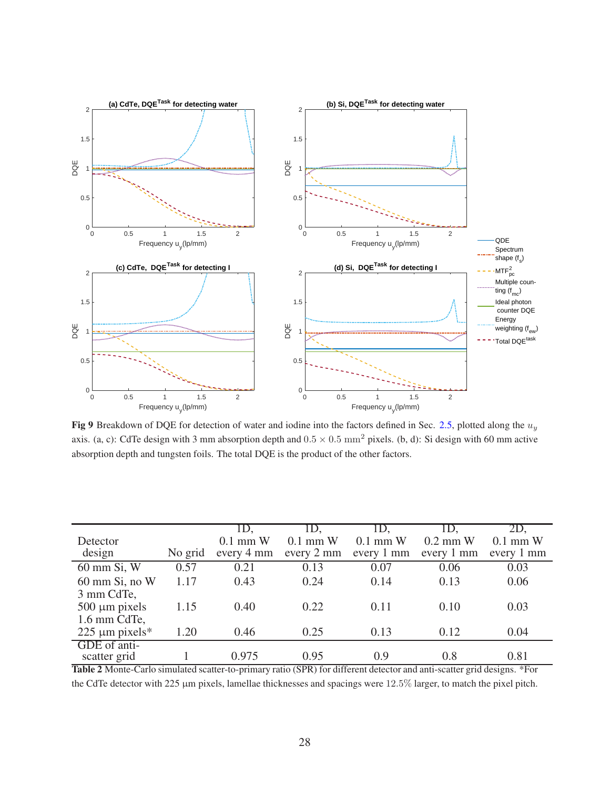

<span id="page-27-0"></span>Fig 9 Breakdown of DQE for detection of water and iodine into the factors defined in Sec. [2.5,](#page-14-0) plotted along the  $u_y$ axis. (a, c): CdTe design with 3 mm absorption depth and  $0.5 \times 0.5$  mm<sup>2</sup> pixels. (b, d): Si design with 60 mm active absorption depth and tungsten foils. The total DQE is the product of the other factors.

|                                    |         | ID.                      | LD.                      | ID.                      | ID.                      | 2D.                      |
|------------------------------------|---------|--------------------------|--------------------------|--------------------------|--------------------------|--------------------------|
| Detector<br>design                 | No grid | $0.1$ mm W<br>every 4 mm | $0.1$ mm W<br>every 2 mm | $0.1$ mm W<br>every 1 mm | $0.2$ mm W<br>every 1 mm | $0.1$ mm W<br>every 1 mm |
| 60 mm Si, W                        | 0.57    | 0.21                     | 0.13                     | 0.07                     | 0.06                     | 0.03                     |
| $60$ mm Si, no W<br>3 mm CdTe,     | 1.17    | 0.43                     | 0.24                     | 0.14                     | 0.13                     | 0.06                     |
| $500 \mu m$ pixels<br>1.6 mm CdTe, | 1.15    | 0.40                     | 0.22                     | 0.11                     | 0.10                     | 0.03                     |
| 225 $\mu$ m pixels*                | 1.20    | 0.46                     | 0.25                     | 0.13                     | 0.12                     | 0.04                     |
| GDE of anti-<br>scatter grid       |         | 0.975                    | 0.95                     | 0.9                      | 0.8                      | 0.81                     |

<span id="page-27-1"></span>Table 2 Monte-Carlo simulated scatter-to-primary ratio (SPR) for different detector and anti-scatter grid designs. \*For the CdTe detector with 225 µm pixels, lamellae thicknesses and spacings were 12.5% larger, to match the pixel pitch.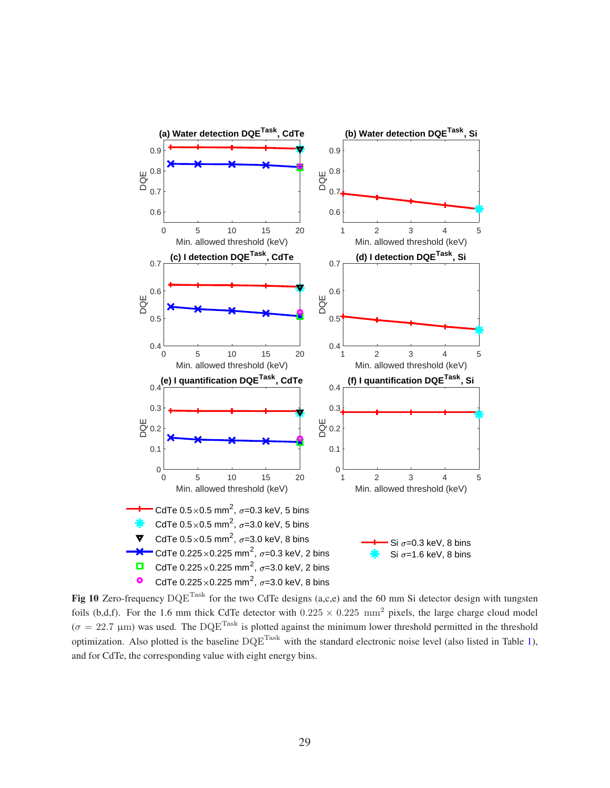

<span id="page-28-0"></span>Fig 10 Zero-frequency  $DQE^{Task}$  for the two CdTe designs (a,c,e) and the 60 mm Si detector design with tungsten foils (b,d,f). For the 1.6 mm thick CdTe detector with  $0.225 \times 0.225$  mm<sup>2</sup> pixels, the large charge cloud model  $(\sigma = 22.7 \text{ }\mu\text{m})$  was used. The DQE<sup>Task</sup> is plotted against the minimum lower threshold permitted in the threshold optimization. Also plotted is the baseline  $DQE^{Task}$  with the standard electronic noise level (also listed in Table [1\)](#page-23-1), and for CdTe, the corresponding value with eight energy bins.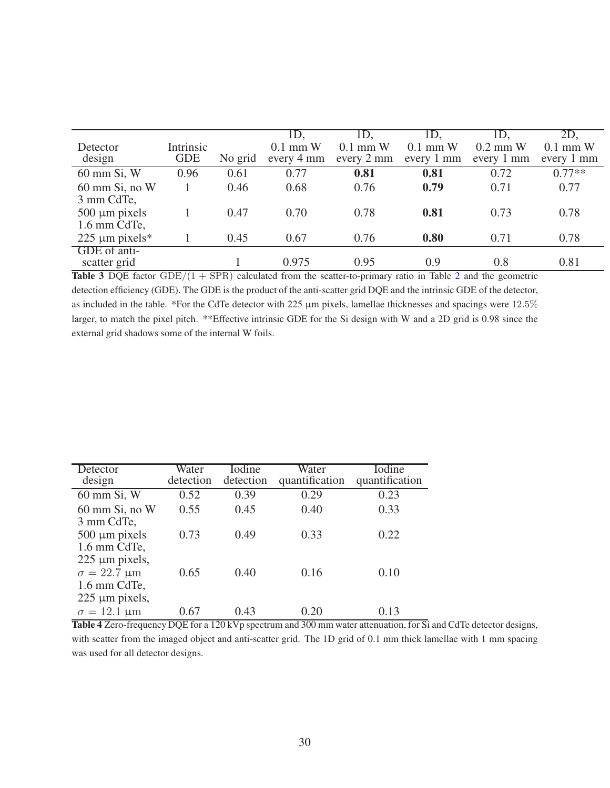|                     |            |         | ID.        | ID.        | ID.        | ID.        | 2D,        |
|---------------------|------------|---------|------------|------------|------------|------------|------------|
| Detector            | Intrinsic  |         | $0.1$ mm W | $0.1$ mm W | $0.1$ mm W | $0.2$ mm W | $0.1$ mm W |
| design              | <b>GDE</b> | No grid | every 4 mm | every 2 mm | every 1 mm | every 1 mm | every 1 mm |
| 60 mm Si, W         | 0.96       | 0.61    | 0.77       | 0.81       | 0.81       | 0.72       | $0.77**$   |
| $60$ mm Si, no W    |            | 0.46    | 0.68       | 0.76       | 0.79       | 0.71       | 0.77       |
| 3 mm CdTe,          |            |         |            |            |            |            |            |
| $500 \mu m$ pixels  |            | 0.47    | 0.70       | 0.78       | 0.81       | 0.73       | 0.78       |
| 1.6 mm CdTe,        |            |         |            |            |            |            |            |
| 225 $\mu$ m pixels* |            | 0.45    | 0.67       | 0.76       | 0.80       | 0.71       | 0.78       |
| GDE of anti-        |            |         |            |            |            |            |            |
| scatter grid        |            |         | 0.975      | 0.95       | 0.9        | 0.8        | 0.81       |

<span id="page-29-0"></span>Table 3 DQE factor  $GDE/(1 + SPR)$  calculated from the scatter-to-primary ratio in Table [2](#page-27-1) and the geometric detection efficiency (GDE). The GDE is the product of the anti-scatter grid DQE and the intrinsic GDE of the detector, as included in the table. \*For the CdTe detector with 225 µm pixels, lamellae thicknesses and spacings were 12.5% larger, to match the pixel pitch. \*\*Effective intrinsic GDE for the Si design with W and a 2D grid is 0.98 since the external grid shadows some of the internal W foils.

| Detector<br>design                                                         | Water<br>detection | Iodine<br>detection | Water<br>quantification | Iodine<br>quantification |
|----------------------------------------------------------------------------|--------------------|---------------------|-------------------------|--------------------------|
| 60 mm Si, W                                                                | 0.52               | 0.39                | 0.29                    | 0.23                     |
| $60 \text{ mm }$ Si, no W                                                  | 0.55               | 0.45                | 0.40                    | 0.33                     |
| 3 mm CdTe,<br>$500 \mu m$ pixels<br>1.6 mm CdTe,                           | 0.73               | 0.49                | 0.33                    | 0.22                     |
| $225 \mu m$ pixels,<br>$\sigma = 22.7 \text{ }\mu\text{m}$<br>1.6 mm CdTe, | 0.65               | 0.40                | 0.16                    | 0.10                     |
| $225 \mu m$ pixels,<br>$\sigma = 12.1 \text{ }\mu\text{m}$                 | 0.67               | 0.43                | 0.20                    | 0.13                     |

<span id="page-29-1"></span>Table 4 Zero-frequency DQE for a 120 kVp spectrum and 300 mm water attenuation, for Si and CdTe detector designs, with scatter from the imaged object and anti-scatter grid. The 1D grid of 0.1 mm thick lamellae with 1 mm spacing was used for all detector designs.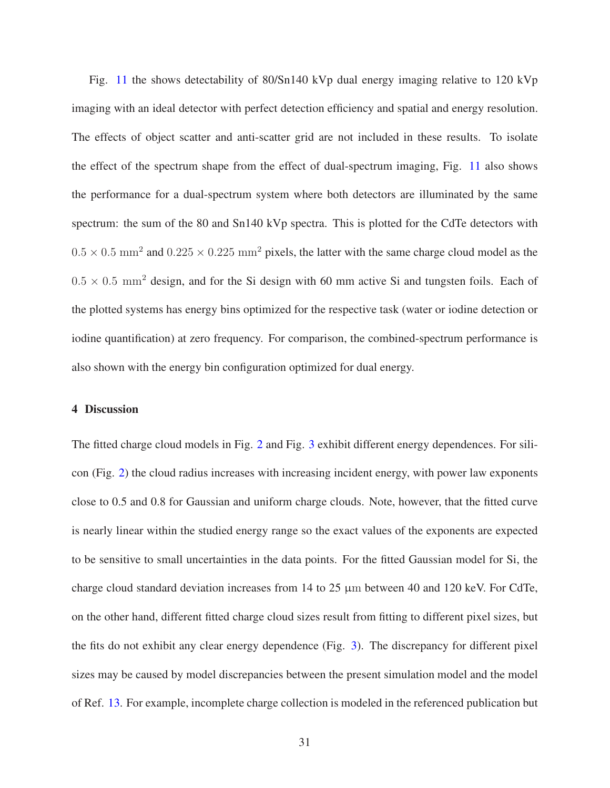Fig. [11](#page-31-0) the shows detectability of 80/Sn140 kVp dual energy imaging relative to 120 kVp imaging with an ideal detector with perfect detection efficiency and spatial and energy resolution. The effects of object scatter and anti-scatter grid are not included in these results. To isolate the effect of the spectrum shape from the effect of dual-spectrum imaging, Fig. [11](#page-31-0) also shows the performance for a dual-spectrum system where both detectors are illuminated by the same spectrum: the sum of the 80 and Sn140 kVp spectra. This is plotted for the CdTe detectors with  $0.5 \times 0.5$  mm<sup>2</sup> and  $0.225 \times 0.225$  mm<sup>2</sup> pixels, the latter with the same charge cloud model as the  $0.5 \times 0.5$  mm<sup>2</sup> design, and for the Si design with 60 mm active Si and tungsten foils. Each of the plotted systems has energy bins optimized for the respective task (water or iodine detection or iodine quantification) at zero frequency. For comparison, the combined-spectrum performance is also shown with the energy bin configuration optimized for dual energy.

#### 4 Discussion

The fitted charge cloud models in Fig. [2](#page-19-0) and Fig. [3](#page-20-0) exhibit different energy dependences. For silicon (Fig. [2\)](#page-19-0) the cloud radius increases with increasing incident energy, with power law exponents close to 0.5 and 0.8 for Gaussian and uniform charge clouds. Note, however, that the fitted curve is nearly linear within the studied energy range so the exact values of the exponents are expected to be sensitive to small uncertainties in the data points. For the fitted Gaussian model for Si, the charge cloud standard deviation increases from 14 to 25 µm between 40 and 120 keV. For CdTe, on the other hand, different fitted charge cloud sizes result from fitting to different pixel sizes, but the fits do not exhibit any clear energy dependence (Fig. [3\)](#page-20-0). The discrepancy for different pixel sizes may be caused by model discrepancies between the present simulation model and the model of Ref. [13.](#page-47-1) For example, incomplete charge collection is modeled in the referenced publication but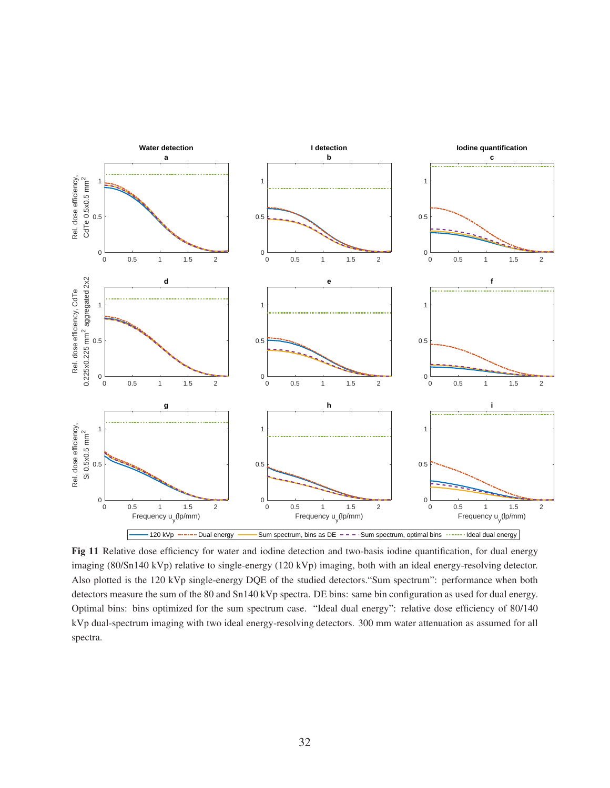

<span id="page-31-0"></span>Fig 11 Relative dose efficiency for water and iodine detection and two-basis iodine quantification, for dual energy imaging (80/Sn140 kVp) relative to single-energy (120 kVp) imaging, both with an ideal energy-resolving detector. Also plotted is the 120 kVp single-energy DQE of the studied detectors."Sum spectrum": performance when both detectors measure the sum of the 80 and Sn140 kVp spectra. DE bins: same bin configuration as used for dual energy. Optimal bins: bins optimized for the sum spectrum case. "Ideal dual energy": relative dose efficiency of 80/140 kVp dual-spectrum imaging with two ideal energy-resolving detectors. 300 mm water attenuation as assumed for all spectra.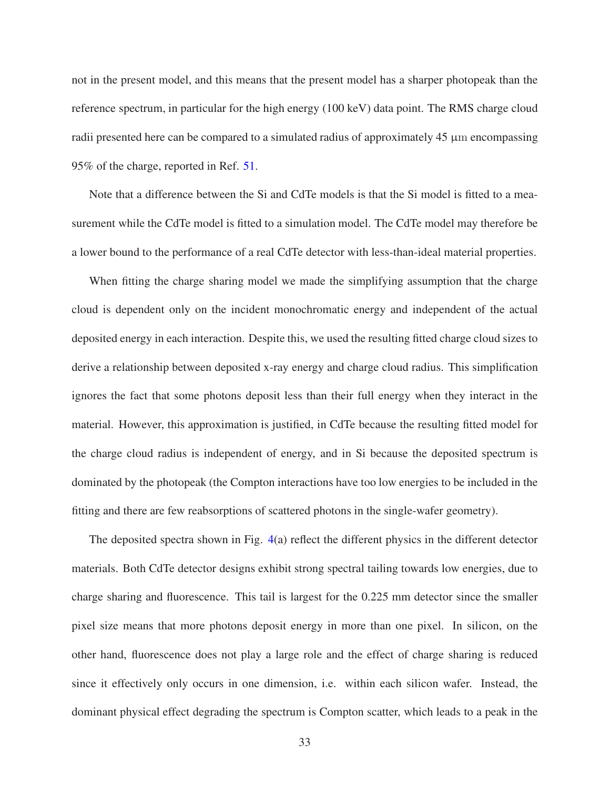not in the present model, and this means that the present model has a sharper photopeak than the reference spectrum, in particular for the high energy (100 keV) data point. The RMS charge cloud radii presented here can be compared to a simulated radius of approximately  $45 \mu$ m encompassing 95% of the charge, reported in Ref. [51.](#page-51-4)

Note that a difference between the Si and CdTe models is that the Si model is fitted to a measurement while the CdTe model is fitted to a simulation model. The CdTe model may therefore be a lower bound to the performance of a real CdTe detector with less-than-ideal material properties.

When fitting the charge sharing model we made the simplifying assumption that the charge cloud is dependent only on the incident monochromatic energy and independent of the actual deposited energy in each interaction. Despite this, we used the resulting fitted charge cloud sizes to derive a relationship between deposited x-ray energy and charge cloud radius. This simplification ignores the fact that some photons deposit less than their full energy when they interact in the material. However, this approximation is justified, in CdTe because the resulting fitted model for the charge cloud radius is independent of energy, and in Si because the deposited spectrum is dominated by the photopeak (the Compton interactions have too low energies to be included in the fitting and there are few reabsorptions of scattered photons in the single-wafer geometry).

The deposited spectra shown in Fig. [4\(](#page-21-0)a) reflect the different physics in the different detector materials. Both CdTe detector designs exhibit strong spectral tailing towards low energies, due to charge sharing and fluorescence. This tail is largest for the 0.225 mm detector since the smaller pixel size means that more photons deposit energy in more than one pixel. In silicon, on the other hand, fluorescence does not play a large role and the effect of charge sharing is reduced since it effectively only occurs in one dimension, i.e. within each silicon wafer. Instead, the dominant physical effect degrading the spectrum is Compton scatter, which leads to a peak in the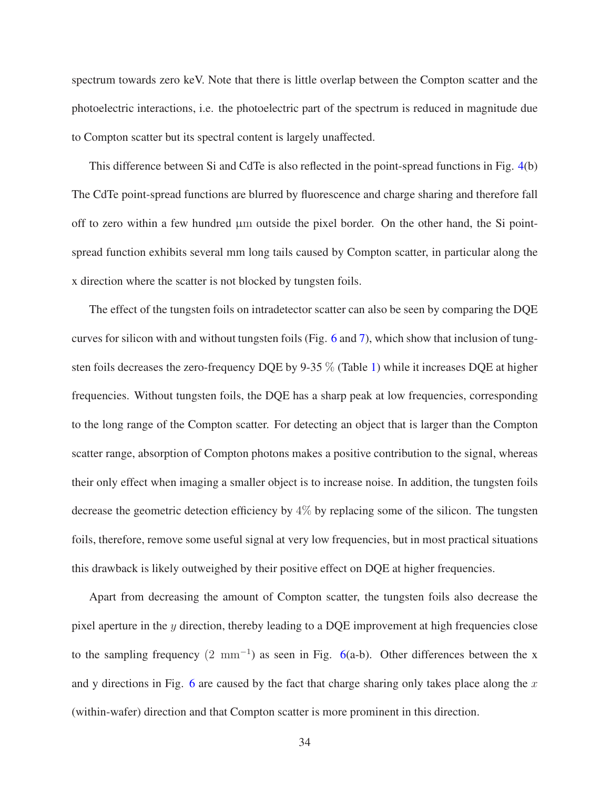spectrum towards zero keV. Note that there is little overlap between the Compton scatter and the photoelectric interactions, i.e. the photoelectric part of the spectrum is reduced in magnitude due to Compton scatter but its spectral content is largely unaffected.

This difference between Si and CdTe is also reflected in the point-spread functions in Fig. [4\(](#page-21-0)b) The CdTe point-spread functions are blurred by fluorescence and charge sharing and therefore fall off to zero within a few hundred  $\mu$ m outside the pixel border. On the other hand, the Si pointspread function exhibits several mm long tails caused by Compton scatter, in particular along the x direction where the scatter is not blocked by tungsten foils.

The effect of the tungsten foils on intradetector scatter can also be seen by comparing the DQE curves for silicon with and without tungsten foils (Fig. [6](#page-23-0) and [7\)](#page-24-0), which show that inclusion of tungsten foils decreases the zero-frequency DQE by 9-35 % (Table [1\)](#page-23-1) while it increases DQE at higher frequencies. Without tungsten foils, the DQE has a sharp peak at low frequencies, corresponding to the long range of the Compton scatter. For detecting an object that is larger than the Compton scatter range, absorption of Compton photons makes a positive contribution to the signal, whereas their only effect when imaging a smaller object is to increase noise. In addition, the tungsten foils decrease the geometric detection efficiency by  $4\%$  by replacing some of the silicon. The tungsten foils, therefore, remove some useful signal at very low frequencies, but in most practical situations this drawback is likely outweighed by their positive effect on DQE at higher frequencies.

Apart from decreasing the amount of Compton scatter, the tungsten foils also decrease the pixel aperture in the  $\gamma$  direction, thereby leading to a DQE improvement at high frequencies close to the sampling frequency  $(2 \text{ mm}^{-1})$  as seen in Fig. [6\(](#page-23-0)a-b). Other differences between the x and y directions in Fig. [6](#page-23-0) are caused by the fact that charge sharing only takes place along the  $x$ (within-wafer) direction and that Compton scatter is more prominent in this direction.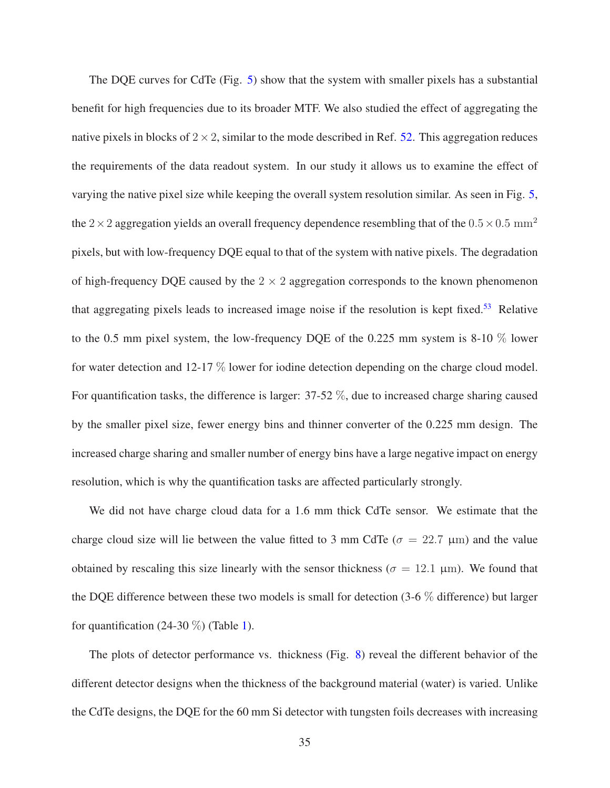The DQE curves for CdTe (Fig. [5\)](#page-22-0) show that the system with smaller pixels has a substantial benefit for high frequencies due to its broader MTF. We also studied the effect of aggregating the native pixels in blocks of  $2 \times 2$ , similar to the mode described in Ref. [52.](#page-51-5) This aggregation reduces the requirements of the data readout system. In our study it allows us to examine the effect of varying the native pixel size while keeping the overall system resolution similar. As seen in Fig. [5,](#page-22-0) the 2  $\times$  2 aggregation yields an overall frequency dependence resembling that of the 0.5  $\times$  0.5 mm<sup>2</sup> pixels, but with low-frequency DQE equal to that of the system with native pixels. The degradation of high-frequency DQE caused by the  $2 \times 2$  aggregation corresponds to the known phenomenon that aggregating pixels leads to increased image noise if the resolution is kept fixed.<sup>[53](#page-51-6)</sup> Relative to the 0.5 mm pixel system, the low-frequency DQE of the 0.225 mm system is 8-10 % lower for water detection and 12-17 % lower for iodine detection depending on the charge cloud model. For quantification tasks, the difference is larger: 37-52 %, due to increased charge sharing caused by the smaller pixel size, fewer energy bins and thinner converter of the 0.225 mm design. The increased charge sharing and smaller number of energy bins have a large negative impact on energy resolution, which is why the quantification tasks are affected particularly strongly.

We did not have charge cloud data for a 1.6 mm thick CdTe sensor. We estimate that the charge cloud size will lie between the value fitted to 3 mm CdTe ( $\sigma = 22.7 \mu m$ ) and the value obtained by rescaling this size linearly with the sensor thickness ( $\sigma = 12.1 \text{ }\mu\text{m}$ ). We found that the DQE difference between these two models is small for detection (3-6 % difference) but larger for quantification (24-30  $\%$ ) (Table [1\)](#page-23-1).

The plots of detector performance vs. thickness (Fig. [8\)](#page-25-0) reveal the different behavior of the different detector designs when the thickness of the background material (water) is varied. Unlike the CdTe designs, the DQE for the 60 mm Si detector with tungsten foils decreases with increasing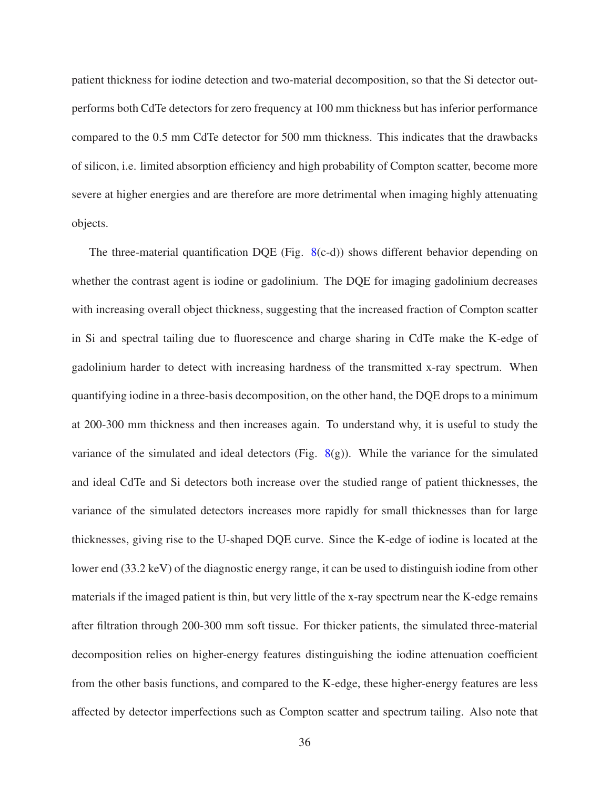patient thickness for iodine detection and two-material decomposition, so that the Si detector outperforms both CdTe detectors for zero frequency at 100 mm thickness but has inferior performance compared to the 0.5 mm CdTe detector for 500 mm thickness. This indicates that the drawbacks of silicon, i.e. limited absorption efficiency and high probability of Compton scatter, become more severe at higher energies and are therefore are more detrimental when imaging highly attenuating objects.

The three-material quantification DQE (Fig.  $8(c-d)$  $8(c-d)$ ) shows different behavior depending on whether the contrast agent is iodine or gadolinium. The DQE for imaging gadolinium decreases with increasing overall object thickness, suggesting that the increased fraction of Compton scatter in Si and spectral tailing due to fluorescence and charge sharing in CdTe make the K-edge of gadolinium harder to detect with increasing hardness of the transmitted x-ray spectrum. When quantifying iodine in a three-basis decomposition, on the other hand, the DQE drops to a minimum at 200-300 mm thickness and then increases again. To understand why, it is useful to study the variance of the simulated and ideal detectors (Fig.  $8(g)$  $8(g)$ ). While the variance for the simulated and ideal CdTe and Si detectors both increase over the studied range of patient thicknesses, the variance of the simulated detectors increases more rapidly for small thicknesses than for large thicknesses, giving rise to the U-shaped DQE curve. Since the K-edge of iodine is located at the lower end (33.2 keV) of the diagnostic energy range, it can be used to distinguish iodine from other materials if the imaged patient is thin, but very little of the x-ray spectrum near the K-edge remains after filtration through 200-300 mm soft tissue. For thicker patients, the simulated three-material decomposition relies on higher-energy features distinguishing the iodine attenuation coefficient from the other basis functions, and compared to the K-edge, these higher-energy features are less affected by detector imperfections such as Compton scatter and spectrum tailing. Also note that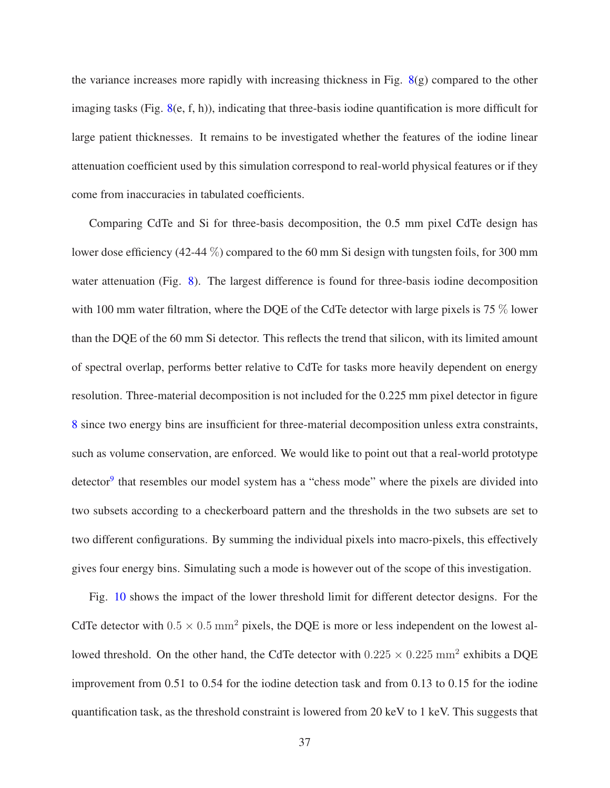the variance increases more rapidly with increasing thickness in Fig. [8\(](#page-25-0)g) compared to the other imaging tasks (Fig. [8\(](#page-25-0)e, f, h)), indicating that three-basis iodine quantification is more difficult for large patient thicknesses. It remains to be investigated whether the features of the iodine linear attenuation coefficient used by this simulation correspond to real-world physical features or if they come from inaccuracies in tabulated coefficients.

Comparing CdTe and Si for three-basis decomposition, the 0.5 mm pixel CdTe design has lower dose efficiency (42-44 %) compared to the 60 mm Si design with tungsten foils, for 300 mm water attenuation (Fig. [8\)](#page-25-0). The largest difference is found for three-basis iodine decomposition with 100 mm water filtration, where the DQE of the CdTe detector with large pixels is 75 % lower than the DQE of the 60 mm Si detector. This reflects the trend that silicon, with its limited amount of spectral overlap, performs better relative to CdTe for tasks more heavily dependent on energy resolution. Three-material decomposition is not included for the 0.225 mm pixel detector in figure [8](#page-25-0) since two energy bins are insufficient for three-material decomposition unless extra constraints, such as volume conservation, are enforced. We would like to point out that a real-world prototype detector<sup>[9](#page-46-7)</sup> that resembles our model system has a "chess mode" where the pixels are divided into two subsets according to a checkerboard pattern and the thresholds in the two subsets are set to two different configurations. By summing the individual pixels into macro-pixels, this effectively gives four energy bins. Simulating such a mode is however out of the scope of this investigation.

Fig. [10](#page-28-0) shows the impact of the lower threshold limit for different detector designs. For the CdTe detector with  $0.5 \times 0.5$  mm<sup>2</sup> pixels, the DQE is more or less independent on the lowest allowed threshold. On the other hand, the CdTe detector with  $0.225 \times 0.225$  mm<sup>2</sup> exhibits a DQE improvement from 0.51 to 0.54 for the iodine detection task and from 0.13 to 0.15 for the iodine quantification task, as the threshold constraint is lowered from 20 keV to 1 keV. This suggests that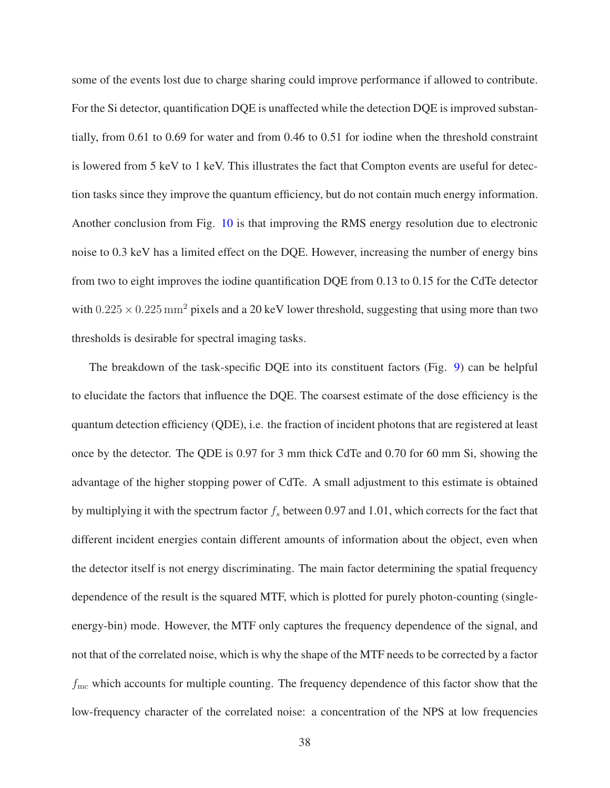some of the events lost due to charge sharing could improve performance if allowed to contribute. For the Si detector, quantification DQE is unaffected while the detection DQE is improved substantially, from 0.61 to 0.69 for water and from 0.46 to 0.51 for iodine when the threshold constraint is lowered from 5 keV to 1 keV. This illustrates the fact that Compton events are useful for detection tasks since they improve the quantum efficiency, but do not contain much energy information. Another conclusion from Fig. [10](#page-28-0) is that improving the RMS energy resolution due to electronic noise to 0.3 keV has a limited effect on the DQE. However, increasing the number of energy bins from two to eight improves the iodine quantification DQE from 0.13 to 0.15 for the CdTe detector with  $0.225 \times 0.225$  mm<sup>2</sup> pixels and a 20 keV lower threshold, suggesting that using more than two thresholds is desirable for spectral imaging tasks.

The breakdown of the task-specific DQE into its constituent factors (Fig. [9\)](#page-27-0) can be helpful to elucidate the factors that influence the DQE. The coarsest estimate of the dose efficiency is the quantum detection efficiency (QDE), i.e. the fraction of incident photons that are registered at least once by the detector. The QDE is 0.97 for 3 mm thick CdTe and 0.70 for 60 mm Si, showing the advantage of the higher stopping power of CdTe. A small adjustment to this estimate is obtained by multiplying it with the spectrum factor  $f_s$  between 0.97 and 1.01, which corrects for the fact that different incident energies contain different amounts of information about the object, even when the detector itself is not energy discriminating. The main factor determining the spatial frequency dependence of the result is the squared MTF, which is plotted for purely photon-counting (singleenergy-bin) mode. However, the MTF only captures the frequency dependence of the signal, and not that of the correlated noise, which is why the shape of the MTF needs to be corrected by a factor  $f_{\text{mc}}$  which accounts for multiple counting. The frequency dependence of this factor show that the low-frequency character of the correlated noise: a concentration of the NPS at low frequencies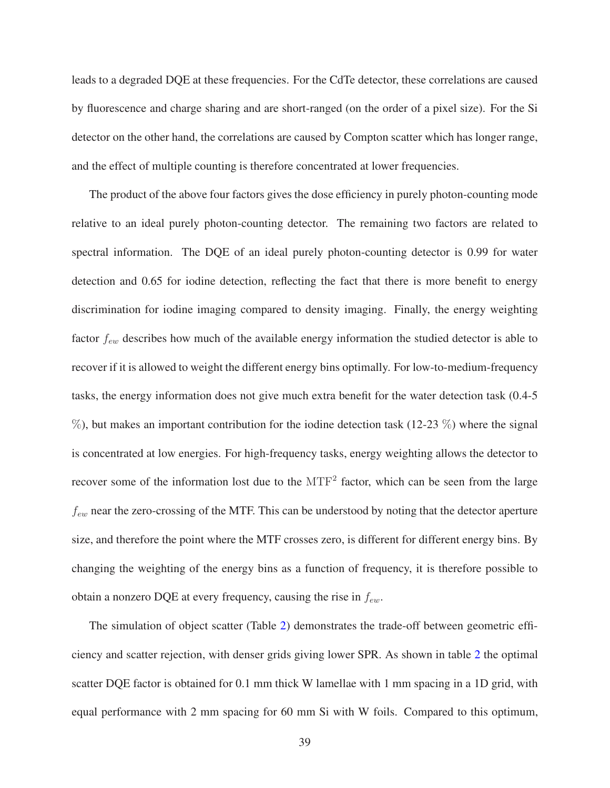leads to a degraded DQE at these frequencies. For the CdTe detector, these correlations are caused by fluorescence and charge sharing and are short-ranged (on the order of a pixel size). For the Si detector on the other hand, the correlations are caused by Compton scatter which has longer range, and the effect of multiple counting is therefore concentrated at lower frequencies.

The product of the above four factors gives the dose efficiency in purely photon-counting mode relative to an ideal purely photon-counting detector. The remaining two factors are related to spectral information. The DQE of an ideal purely photon-counting detector is 0.99 for water detection and 0.65 for iodine detection, reflecting the fact that there is more benefit to energy discrimination for iodine imaging compared to density imaging. Finally, the energy weighting factor  $f_{ew}$  describes how much of the available energy information the studied detector is able to recover if it is allowed to weight the different energy bins optimally. For low-to-medium-frequency tasks, the energy information does not give much extra benefit for the water detection task (0.4-5  $\%$ ), but makes an important contribution for the iodine detection task (12-23  $\%$ ) where the signal is concentrated at low energies. For high-frequency tasks, energy weighting allows the detector to recover some of the information lost due to the  $MTF<sup>2</sup>$  factor, which can be seen from the large  $f_{ew}$  near the zero-crossing of the MTF. This can be understood by noting that the detector aperture size, and therefore the point where the MTF crosses zero, is different for different energy bins. By changing the weighting of the energy bins as a function of frequency, it is therefore possible to obtain a nonzero DQE at every frequency, causing the rise in  $f_{ew}$ .

The simulation of object scatter (Table [2\)](#page-27-1) demonstrates the trade-off between geometric efficiency and scatter rejection, with denser grids giving lower SPR. As shown in table [2](#page-27-1) the optimal scatter DQE factor is obtained for 0.1 mm thick W lamellae with 1 mm spacing in a 1D grid, with equal performance with 2 mm spacing for 60 mm Si with W foils. Compared to this optimum,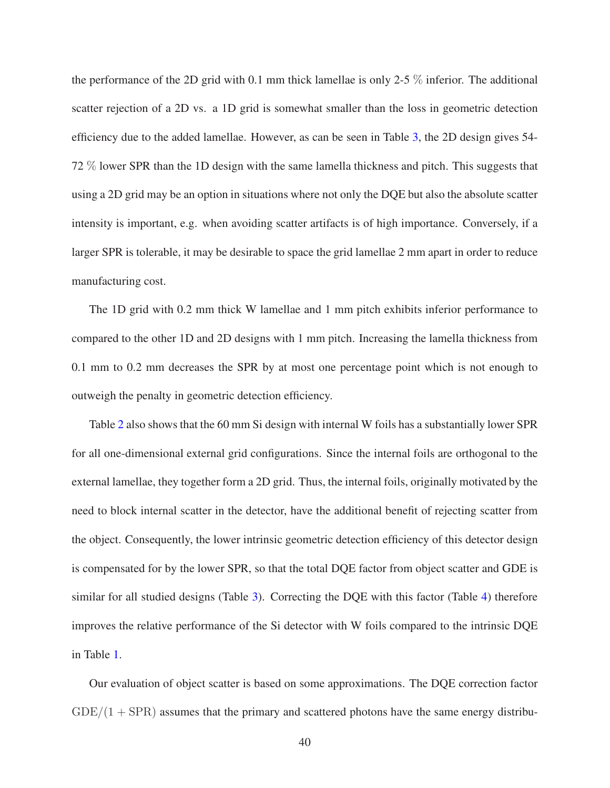the performance of the 2D grid with 0.1 mm thick lamellae is only 2-5  $\%$  inferior. The additional scatter rejection of a 2D vs. a 1D grid is somewhat smaller than the loss in geometric detection efficiency due to the added lamellae. However, as can be seen in Table [3,](#page-29-0) the 2D design gives 54- 72 % lower SPR than the 1D design with the same lamella thickness and pitch. This suggests that using a 2D grid may be an option in situations where not only the DQE but also the absolute scatter intensity is important, e.g. when avoiding scatter artifacts is of high importance. Conversely, if a larger SPR is tolerable, it may be desirable to space the grid lamellae 2 mm apart in order to reduce manufacturing cost.

The 1D grid with 0.2 mm thick W lamellae and 1 mm pitch exhibits inferior performance to compared to the other 1D and 2D designs with 1 mm pitch. Increasing the lamella thickness from 0.1 mm to 0.2 mm decreases the SPR by at most one percentage point which is not enough to outweigh the penalty in geometric detection efficiency.

Table [2](#page-27-1) also shows that the 60 mm Si design with internal W foils has a substantially lower SPR for all one-dimensional external grid configurations. Since the internal foils are orthogonal to the external lamellae, they together form a 2D grid. Thus, the internal foils, originally motivated by the need to block internal scatter in the detector, have the additional benefit of rejecting scatter from the object. Consequently, the lower intrinsic geometric detection efficiency of this detector design is compensated for by the lower SPR, so that the total DQE factor from object scatter and GDE is similar for all studied designs (Table [3\)](#page-29-0). Correcting the DQE with this factor (Table [4\)](#page-29-1) therefore improves the relative performance of the Si detector with W foils compared to the intrinsic DQE in Table [1.](#page-23-1)

Our evaluation of object scatter is based on some approximations. The DQE correction factor  $GDE/(1 + SPR)$  assumes that the primary and scattered photons have the same energy distribu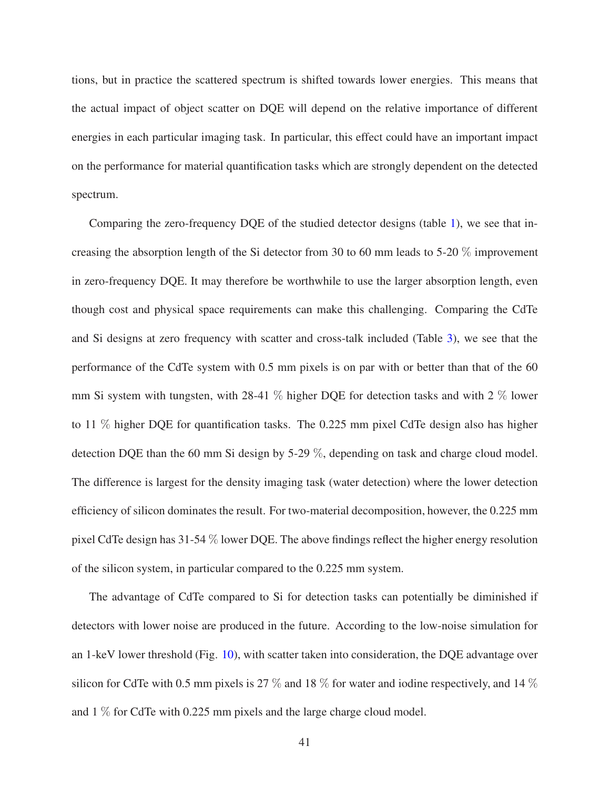tions, but in practice the scattered spectrum is shifted towards lower energies. This means that the actual impact of object scatter on DQE will depend on the relative importance of different energies in each particular imaging task. In particular, this effect could have an important impact on the performance for material quantification tasks which are strongly dependent on the detected spectrum.

Comparing the zero-frequency DQE of the studied detector designs (table [1\)](#page-23-1), we see that increasing the absorption length of the Si detector from 30 to 60 mm leads to 5-20  $\%$  improvement in zero-frequency DQE. It may therefore be worthwhile to use the larger absorption length, even though cost and physical space requirements can make this challenging. Comparing the CdTe and Si designs at zero frequency with scatter and cross-talk included (Table [3\)](#page-29-0), we see that the performance of the CdTe system with 0.5 mm pixels is on par with or better than that of the 60 mm Si system with tungsten, with 28-41  $\%$  higher DQE for detection tasks and with 2  $\%$  lower to 11 % higher DQE for quantification tasks. The 0.225 mm pixel CdTe design also has higher detection DQE than the 60 mm Si design by 5-29 %, depending on task and charge cloud model. The difference is largest for the density imaging task (water detection) where the lower detection efficiency of silicon dominates the result. For two-material decomposition, however, the 0.225 mm pixel CdTe design has 31-54 % lower DQE. The above findings reflect the higher energy resolution of the silicon system, in particular compared to the 0.225 mm system.

The advantage of CdTe compared to Si for detection tasks can potentially be diminished if detectors with lower noise are produced in the future. According to the low-noise simulation for an 1-keV lower threshold (Fig. [10\)](#page-28-0), with scatter taken into consideration, the DQE advantage over silicon for CdTe with 0.5 mm pixels is 27  $\%$  and 18  $\%$  for water and iodine respectively, and 14  $\%$ and 1 % for CdTe with 0.225 mm pixels and the large charge cloud model.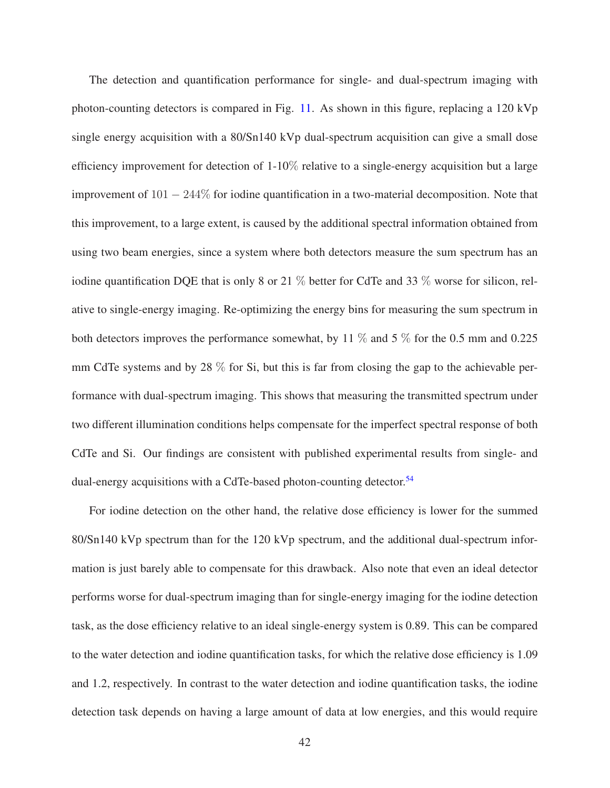The detection and quantification performance for single- and dual-spectrum imaging with photon-counting detectors is compared in Fig. [11.](#page-31-0) As shown in this figure, replacing a 120 kVp single energy acquisition with a 80/Sn140 kVp dual-spectrum acquisition can give a small dose efficiency improvement for detection of  $1-10\%$  relative to a single-energy acquisition but a large improvement of  $101 - 244\%$  for iodine quantification in a two-material decomposition. Note that this improvement, to a large extent, is caused by the additional spectral information obtained from using two beam energies, since a system where both detectors measure the sum spectrum has an iodine quantification DQE that is only 8 or 21  $\%$  better for CdTe and 33  $\%$  worse for silicon, relative to single-energy imaging. Re-optimizing the energy bins for measuring the sum spectrum in both detectors improves the performance somewhat, by 11  $\%$  and 5  $\%$  for the 0.5 mm and 0.225 mm CdTe systems and by 28  $\%$  for Si, but this is far from closing the gap to the achievable performance with dual-spectrum imaging. This shows that measuring the transmitted spectrum under two different illumination conditions helps compensate for the imperfect spectral response of both CdTe and Si. Our findings are consistent with published experimental results from single- and dual-energy acquisitions with a CdTe-based photon-counting detector.<sup>[54](#page-51-7)</sup>

For iodine detection on the other hand, the relative dose efficiency is lower for the summed 80/Sn140 kVp spectrum than for the 120 kVp spectrum, and the additional dual-spectrum information is just barely able to compensate for this drawback. Also note that even an ideal detector performs worse for dual-spectrum imaging than for single-energy imaging for the iodine detection task, as the dose efficiency relative to an ideal single-energy system is 0.89. This can be compared to the water detection and iodine quantification tasks, for which the relative dose efficiency is 1.09 and 1.2, respectively. In contrast to the water detection and iodine quantification tasks, the iodine detection task depends on having a large amount of data at low energies, and this would require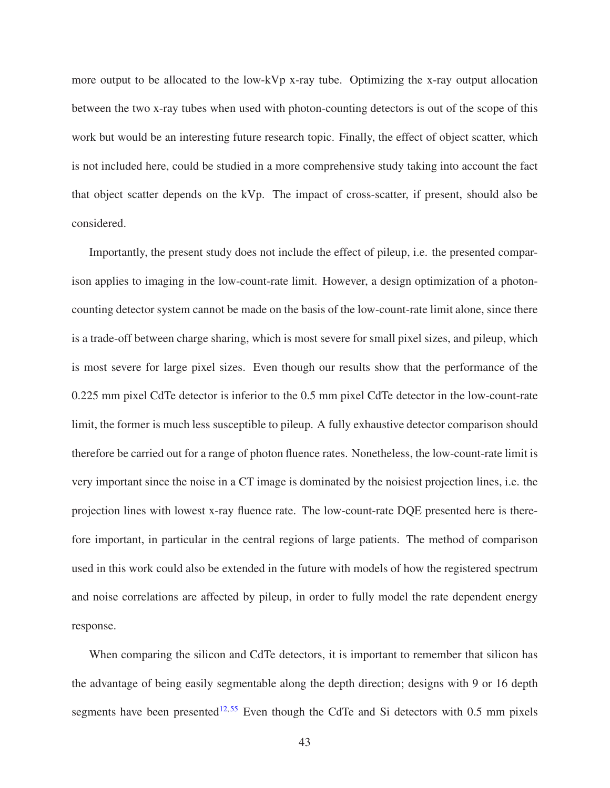more output to be allocated to the low-kVp x-ray tube. Optimizing the x-ray output allocation between the two x-ray tubes when used with photon-counting detectors is out of the scope of this work but would be an interesting future research topic. Finally, the effect of object scatter, which is not included here, could be studied in a more comprehensive study taking into account the fact that object scatter depends on the kVp. The impact of cross-scatter, if present, should also be considered.

Importantly, the present study does not include the effect of pileup, i.e. the presented comparison applies to imaging in the low-count-rate limit. However, a design optimization of a photoncounting detector system cannot be made on the basis of the low-count-rate limit alone, since there is a trade-off between charge sharing, which is most severe for small pixel sizes, and pileup, which is most severe for large pixel sizes. Even though our results show that the performance of the 0.225 mm pixel CdTe detector is inferior to the 0.5 mm pixel CdTe detector in the low-count-rate limit, the former is much less susceptible to pileup. A fully exhaustive detector comparison should therefore be carried out for a range of photon fluence rates. Nonetheless, the low-count-rate limit is very important since the noise in a CT image is dominated by the noisiest projection lines, i.e. the projection lines with lowest x-ray fluence rate. The low-count-rate DQE presented here is therefore important, in particular in the central regions of large patients. The method of comparison used in this work could also be extended in the future with models of how the registered spectrum and noise correlations are affected by pileup, in order to fully model the rate dependent energy response.

When comparing the silicon and CdTe detectors, it is important to remember that silicon has the advantage of being easily segmentable along the depth direction; designs with 9 or 16 depth segments have been presented<sup>[12,](#page-47-0)[55](#page-52-0)</sup> Even though the CdTe and Si detectors with 0.5 mm pixels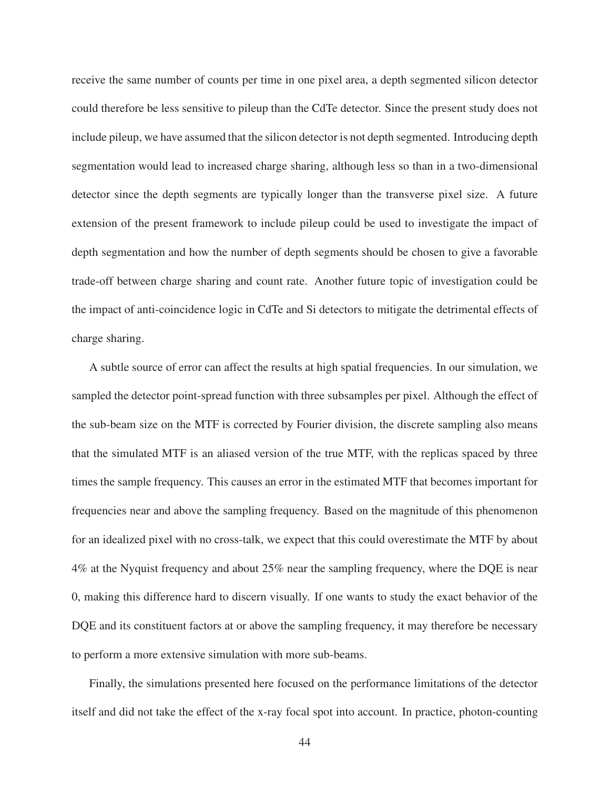receive the same number of counts per time in one pixel area, a depth segmented silicon detector could therefore be less sensitive to pileup than the CdTe detector. Since the present study does not include pileup, we have assumed that the silicon detector is not depth segmented. Introducing depth segmentation would lead to increased charge sharing, although less so than in a two-dimensional detector since the depth segments are typically longer than the transverse pixel size. A future extension of the present framework to include pileup could be used to investigate the impact of depth segmentation and how the number of depth segments should be chosen to give a favorable trade-off between charge sharing and count rate. Another future topic of investigation could be the impact of anti-coincidence logic in CdTe and Si detectors to mitigate the detrimental effects of charge sharing.

A subtle source of error can affect the results at high spatial frequencies. In our simulation, we sampled the detector point-spread function with three subsamples per pixel. Although the effect of the sub-beam size on the MTF is corrected by Fourier division, the discrete sampling also means that the simulated MTF is an aliased version of the true MTF, with the replicas spaced by three times the sample frequency. This causes an error in the estimated MTF that becomes important for frequencies near and above the sampling frequency. Based on the magnitude of this phenomenon for an idealized pixel with no cross-talk, we expect that this could overestimate the MTF by about 4% at the Nyquist frequency and about 25% near the sampling frequency, where the DQE is near 0, making this difference hard to discern visually. If one wants to study the exact behavior of the DQE and its constituent factors at or above the sampling frequency, it may therefore be necessary to perform a more extensive simulation with more sub-beams.

Finally, the simulations presented here focused on the performance limitations of the detector itself and did not take the effect of the x-ray focal spot into account. In practice, photon-counting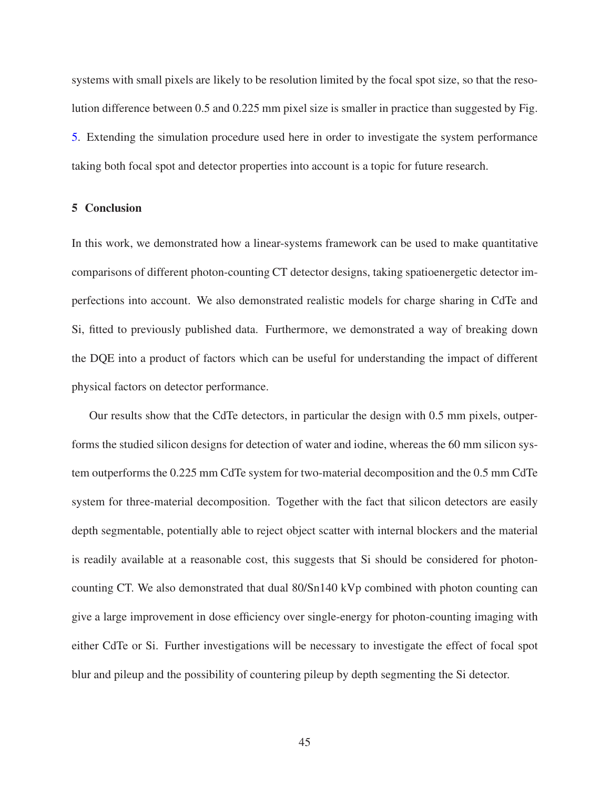systems with small pixels are likely to be resolution limited by the focal spot size, so that the resolution difference between 0.5 and 0.225 mm pixel size is smaller in practice than suggested by Fig. [5.](#page-22-0) Extending the simulation procedure used here in order to investigate the system performance taking both focal spot and detector properties into account is a topic for future research.

## 5 Conclusion

In this work, we demonstrated how a linear-systems framework can be used to make quantitative comparisons of different photon-counting CT detector designs, taking spatioenergetic detector imperfections into account. We also demonstrated realistic models for charge sharing in CdTe and Si, fitted to previously published data. Furthermore, we demonstrated a way of breaking down the DQE into a product of factors which can be useful for understanding the impact of different physical factors on detector performance.

Our results show that the CdTe detectors, in particular the design with 0.5 mm pixels, outperforms the studied silicon designs for detection of water and iodine, whereas the 60 mm silicon system outperforms the 0.225 mm CdTe system for two-material decomposition and the 0.5 mm CdTe system for three-material decomposition. Together with the fact that silicon detectors are easily depth segmentable, potentially able to reject object scatter with internal blockers and the material is readily available at a reasonable cost, this suggests that Si should be considered for photoncounting CT. We also demonstrated that dual 80/Sn140 kVp combined with photon counting can give a large improvement in dose efficiency over single-energy for photon-counting imaging with either CdTe or Si. Further investigations will be necessary to investigate the effect of focal spot blur and pileup and the possibility of countering pileup by depth segmenting the Si detector.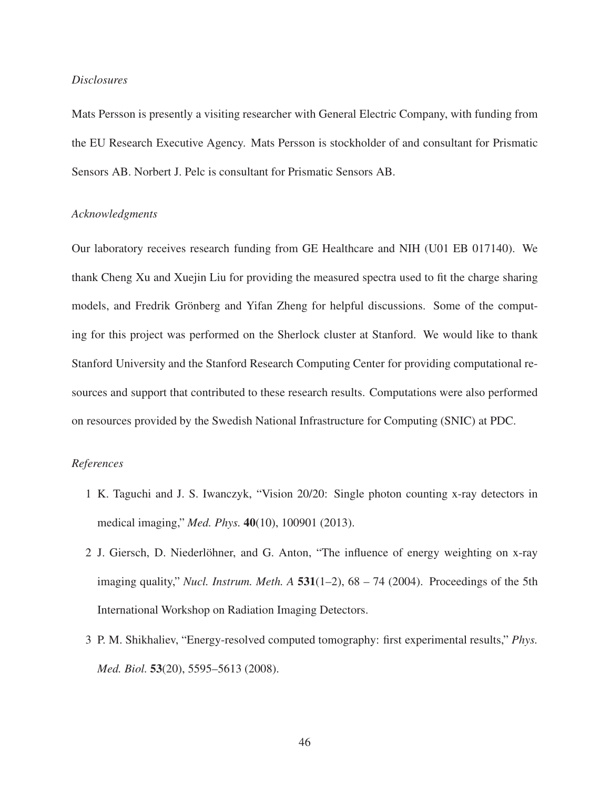## *Disclosures*

Mats Persson is presently a visiting researcher with General Electric Company, with funding from the EU Research Executive Agency. Mats Persson is stockholder of and consultant for Prismatic Sensors AB. Norbert J. Pelc is consultant for Prismatic Sensors AB.

## *Acknowledgments*

Our laboratory receives research funding from GE Healthcare and NIH (U01 EB 017140). We thank Cheng Xu and Xuejin Liu for providing the measured spectra used to fit the charge sharing models, and Fredrik Grönberg and Yifan Zheng for helpful discussions. Some of the computing for this project was performed on the Sherlock cluster at Stanford. We would like to thank Stanford University and the Stanford Research Computing Center for providing computational resources and support that contributed to these research results. Computations were also performed on resources provided by the Swedish National Infrastructure for Computing (SNIC) at PDC.

## <span id="page-45-0"></span>*References*

- 1 K. Taguchi and J. S. Iwanczyk, "Vision 20/20: Single photon counting x-ray detectors in medical imaging," *Med. Phys.* 40(10), 100901 (2013).
- 2 J. Giersch, D. Niederlöhner, and G. Anton, "The influence of energy weighting on x-ray imaging quality," *Nucl. Instrum. Meth. A*  $531(1-2)$ ,  $68 - 74$  (2004). Proceedings of the 5th International Workshop on Radiation Imaging Detectors.
- <span id="page-45-1"></span>3 P. M. Shikhaliev, "Energy-resolved computed tomography: first experimental results," *Phys. Med. Biol.* 53(20), 5595–5613 (2008).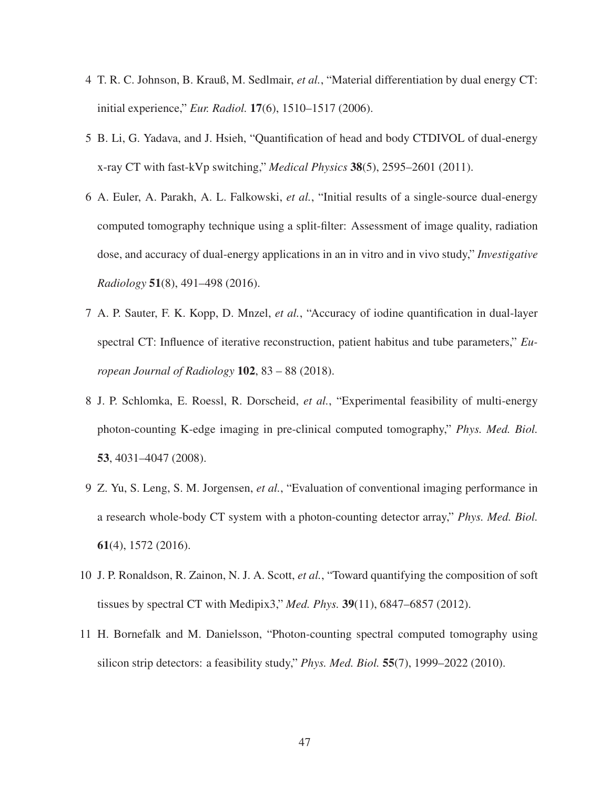- <span id="page-46-1"></span><span id="page-46-0"></span>4 T. R. C. Johnson, B. Krauß, M. Sedlmair, *et al.*, "Material differentiation by dual energy CT: initial experience," *Eur. Radiol.* 17(6), 1510–1517 (2006).
- <span id="page-46-2"></span>5 B. Li, G. Yadava, and J. Hsieh, "Quantification of head and body CTDIVOL of dual-energy x-ray CT with fast-kVp switching," *Medical Physics* 38(5), 2595–2601 (2011).
- 6 A. Euler, A. Parakh, A. L. Falkowski, *et al.*, "Initial results of a single-source dual-energy computed tomography technique using a split-filter: Assessment of image quality, radiation dose, and accuracy of dual-energy applications in an in vitro and in vivo study," *Investigative Radiology* 51(8), 491–498 (2016).
- <span id="page-46-3"></span>7 A. P. Sauter, F. K. Kopp, D. Mnzel, *et al.*, "Accuracy of iodine quantification in dual-layer spectral CT: Influence of iterative reconstruction, patient habitus and tube parameters," *European Journal of Radiology* 102, 83 – 88 (2018).
- <span id="page-46-4"></span>8 J. P. Schlomka, E. Roessl, R. Dorscheid, *et al.*, "Experimental feasibility of multi-energy photon-counting K-edge imaging in pre-clinical computed tomography," *Phys. Med. Biol.* 53, 4031–4047 (2008).
- <span id="page-46-7"></span>9 Z. Yu, S. Leng, S. M. Jorgensen, *et al.*, "Evaluation of conventional imaging performance in a research whole-body CT system with a photon-counting detector array," *Phys. Med. Biol.* 61(4), 1572 (2016).
- <span id="page-46-6"></span><span id="page-46-5"></span>10 J. P. Ronaldson, R. Zainon, N. J. A. Scott, *et al.*, "Toward quantifying the composition of soft tissues by spectral CT with Medipix3," *Med. Phys.* 39(11), 6847–6857 (2012).
- 11 H. Bornefalk and M. Danielsson, "Photon-counting spectral computed tomography using silicon strip detectors: a feasibility study," *Phys. Med. Biol.* 55(7), 1999–2022 (2010).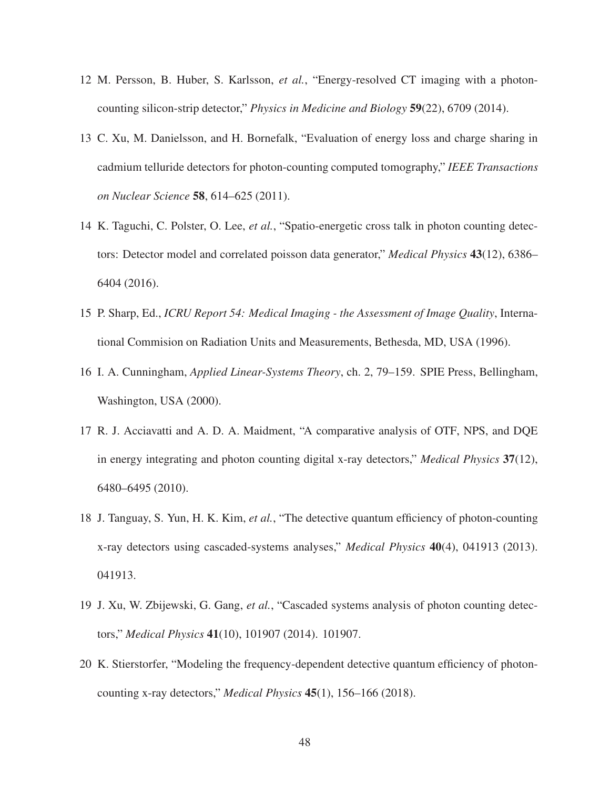- <span id="page-47-1"></span><span id="page-47-0"></span>12 M. Persson, B. Huber, S. Karlsson, *et al.*, "Energy-resolved CT imaging with a photoncounting silicon-strip detector," *Physics in Medicine and Biology* 59(22), 6709 (2014).
- 13 C. Xu, M. Danielsson, and H. Bornefalk, "Evaluation of energy loss and charge sharing in cadmium telluride detectors for photon-counting computed tomography," *IEEE Transactions on Nuclear Science* 58, 614–625 (2011).
- <span id="page-47-2"></span>14 K. Taguchi, C. Polster, O. Lee, *et al.*, "Spatio-energetic cross talk in photon counting detectors: Detector model and correlated poisson data generator," *Medical Physics* 43(12), 6386– 6404 (2016).
- <span id="page-47-4"></span><span id="page-47-3"></span>15 P. Sharp, Ed., *ICRU Report 54: Medical Imaging - the Assessment of Image Quality*, International Commision on Radiation Units and Measurements, Bethesda, MD, USA (1996).
- <span id="page-47-5"></span>16 I. A. Cunningham, *Applied Linear-Systems Theory*, ch. 2, 79–159. SPIE Press, Bellingham, Washington, USA (2000).
- 17 R. J. Acciavatti and A. D. A. Maidment, "A comparative analysis of OTF, NPS, and DQE in energy integrating and photon counting digital x-ray detectors," *Medical Physics* 37(12), 6480–6495 (2010).
- 18 J. Tanguay, S. Yun, H. K. Kim, *et al.*, "The detective quantum efficiency of photon-counting x-ray detectors using cascaded-systems analyses," *Medical Physics* 40(4), 041913 (2013). 041913.
- <span id="page-47-6"></span>19 J. Xu, W. Zbijewski, G. Gang, *et al.*, "Cascaded systems analysis of photon counting detectors," *Medical Physics* 41(10), 101907 (2014). 101907.
- 20 K. Stierstorfer, "Modeling the frequency-dependent detective quantum efficiency of photoncounting x-ray detectors," *Medical Physics* 45(1), 156–166 (2018).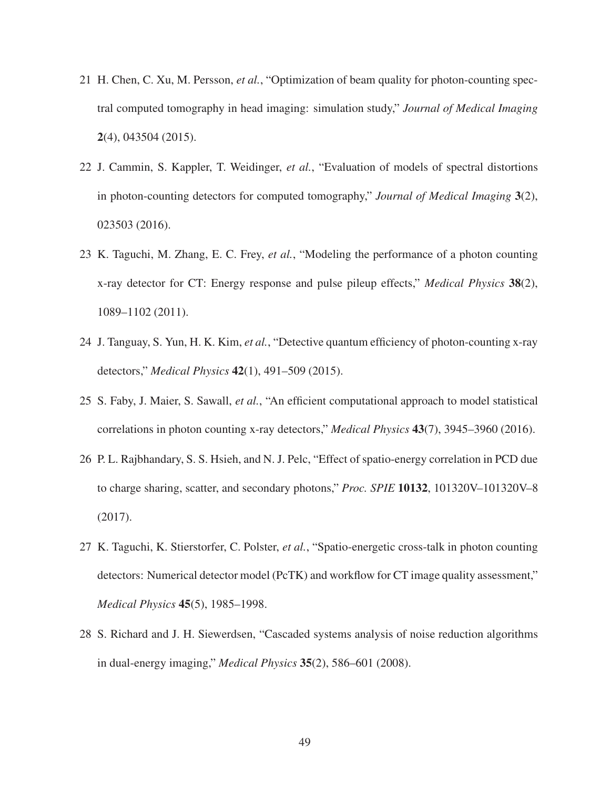- <span id="page-48-0"></span>21 H. Chen, C. Xu, M. Persson, *et al.*, "Optimization of beam quality for photon-counting spectral computed tomography in head imaging: simulation study," *Journal of Medical Imaging* 2(4), 043504 (2015).
- 22 J. Cammin, S. Kappler, T. Weidinger, *et al.*, "Evaluation of models of spectral distortions in photon-counting detectors for computed tomography," *Journal of Medical Imaging* 3(2), 023503 (2016).
- 23 K. Taguchi, M. Zhang, E. C. Frey, *et al.*, "Modeling the performance of a photon counting x-ray detector for CT: Energy response and pulse pileup effects," *Medical Physics* 38(2), 1089–1102 (2011).
- 24 J. Tanguay, S. Yun, H. K. Kim, *et al.*, "Detective quantum efficiency of photon-counting x-ray detectors," *Medical Physics* 42(1), 491–509 (2015).
- 25 S. Faby, J. Maier, S. Sawall, *et al.*, "An efficient computational approach to model statistical correlations in photon counting x-ray detectors," *Medical Physics* 43(7), 3945–3960 (2016).
- 26 P. L. Rajbhandary, S. S. Hsieh, and N. J. Pelc, "Effect of spatio-energy correlation in PCD due to charge sharing, scatter, and secondary photons," *Proc. SPIE* 10132, 101320V–101320V–8 (2017).
- <span id="page-48-1"></span>27 K. Taguchi, K. Stierstorfer, C. Polster, *et al.*, "Spatio-energetic cross-talk in photon counting detectors: Numerical detector model (PcTK) and workflow for CT image quality assessment," *Medical Physics* 45(5), 1985–1998.
- <span id="page-48-2"></span>28 S. Richard and J. H. Siewerdsen, "Cascaded systems analysis of noise reduction algorithms in dual-energy imaging," *Medical Physics* 35(2), 586–601 (2008).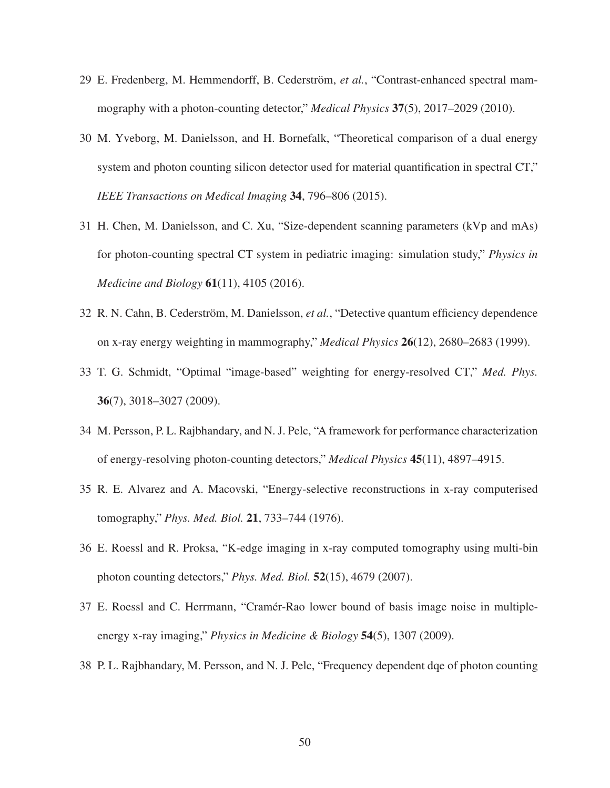- <span id="page-49-0"></span>29 E. Fredenberg, M. Hemmendorff, B. Cederström, et al., "Contrast-enhanced spectral mammography with a photon-counting detector," *Medical Physics* 37(5), 2017–2029 (2010).
- 30 M. Yveborg, M. Danielsson, and H. Bornefalk, "Theoretical comparison of a dual energy system and photon counting silicon detector used for material quantification in spectral CT," *IEEE Transactions on Medical Imaging* 34, 796–806 (2015).
- <span id="page-49-1"></span>31 H. Chen, M. Danielsson, and C. Xu, "Size-dependent scanning parameters (kVp and mAs) for photon-counting spectral CT system in pediatric imaging: simulation study," *Physics in Medicine and Biology* 61(11), 4105 (2016).
- <span id="page-49-3"></span><span id="page-49-2"></span>32 R. N. Cahn, B. Cederström, M. Danielsson, *et al.*, "Detective quantum efficiency dependence on x-ray energy weighting in mammography," *Medical Physics* 26(12), 2680–2683 (1999).
- <span id="page-49-4"></span>33 T. G. Schmidt, "Optimal "image-based" weighting for energy-resolved CT," *Med. Phys.* 36(7), 3018–3027 (2009).
- <span id="page-49-5"></span>34 M. Persson, P. L. Rajbhandary, and N. J. Pelc, "A framework for performance characterization of energy-resolving photon-counting detectors," *Medical Physics* 45(11), 4897–4915.
- <span id="page-49-6"></span>35 R. E. Alvarez and A. Macovski, "Energy-selective reconstructions in x-ray computerised tomography," *Phys. Med. Biol.* 21, 733–744 (1976).
- <span id="page-49-7"></span>36 E. Roessl and R. Proksa, "K-edge imaging in x-ray computed tomography using multi-bin photon counting detectors," *Phys. Med. Biol.* 52(15), 4679 (2007).
- <span id="page-49-8"></span>37 E. Roessl and C. Herrmann, "Cramér-Rao lower bound of basis image noise in multipleenergy x-ray imaging," *Physics in Medicine & Biology* 54(5), 1307 (2009).
- 38 P. L. Rajbhandary, M. Persson, and N. J. Pelc, "Frequency dependent dqe of photon counting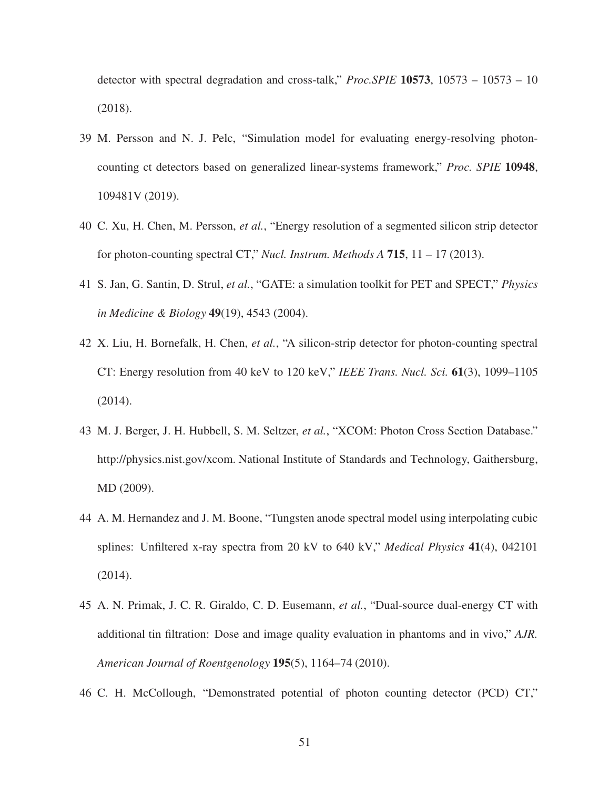<span id="page-50-0"></span>detector with spectral degradation and cross-talk," *Proc.SPIE* 10573, 10573 – 10573 – 10 (2018).

- 39 M. Persson and N. J. Pelc, "Simulation model for evaluating energy-resolving photoncounting ct detectors based on generalized linear-systems framework," *Proc. SPIE* 10948, 109481V (2019).
- <span id="page-50-2"></span><span id="page-50-1"></span>40 C. Xu, H. Chen, M. Persson, *et al.*, "Energy resolution of a segmented silicon strip detector for photon-counting spectral CT," *Nucl. Instrum. Methods A* 715, 11 – 17 (2013).
- <span id="page-50-3"></span>41 S. Jan, G. Santin, D. Strul, *et al.*, "GATE: a simulation toolkit for PET and SPECT," *Physics in Medicine & Biology* 49(19), 4543 (2004).
- 42 X. Liu, H. Bornefalk, H. Chen, *et al.*, "A silicon-strip detector for photon-counting spectral CT: Energy resolution from 40 keV to 120 keV," *IEEE Trans. Nucl. Sci.* 61(3), 1099–1105 (2014).
- <span id="page-50-4"></span>43 M. J. Berger, J. H. Hubbell, S. M. Seltzer, *et al.*, "XCOM: Photon Cross Section Database." http://physics.nist.gov/xcom. National Institute of Standards and Technology, Gaithersburg, MD (2009).
- <span id="page-50-5"></span>44 A. M. Hernandez and J. M. Boone, "Tungsten anode spectral model using interpolating cubic splines: Unfiltered x-ray spectra from 20 kV to 640 kV," *Medical Physics* 41(4), 042101 (2014).
- <span id="page-50-6"></span>45 A. N. Primak, J. C. R. Giraldo, C. D. Eusemann, *et al.*, "Dual-source dual-energy CT with additional tin filtration: Dose and image quality evaluation in phantoms and in vivo," *AJR. American Journal of Roentgenology* 195(5), 1164–74 (2010).
- <span id="page-50-7"></span>46 C. H. McCollough, "Demonstrated potential of photon counting detector (PCD) CT,"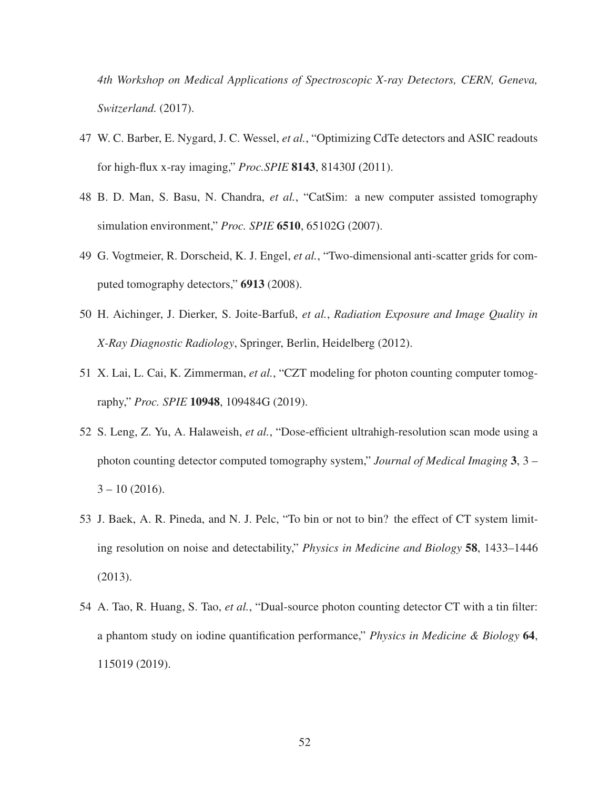<span id="page-51-0"></span>*4th Workshop on Medical Applications of Spectroscopic X-ray Detectors, CERN, Geneva, Switzerland.* (2017).

- <span id="page-51-1"></span>47 W. C. Barber, E. Nygard, J. C. Wessel, *et al.*, "Optimizing CdTe detectors and ASIC readouts for high-flux x-ray imaging," *Proc.SPIE* 8143, 81430J (2011).
- <span id="page-51-2"></span>48 B. D. Man, S. Basu, N. Chandra, *et al.*, "CatSim: a new computer assisted tomography simulation environment," *Proc. SPIE* 6510, 65102G (2007).
- <span id="page-51-3"></span>49 G. Vogtmeier, R. Dorscheid, K. J. Engel, *et al.*, "Two-dimensional anti-scatter grids for computed tomography detectors," 6913 (2008).
- <span id="page-51-4"></span>50 H. Aichinger, J. Dierker, S. Joite-Barfuß, *et al.*, *Radiation Exposure and Image Quality in X-Ray Diagnostic Radiology*, Springer, Berlin, Heidelberg (2012).
- <span id="page-51-5"></span>51 X. Lai, L. Cai, K. Zimmerman, *et al.*, "CZT modeling for photon counting computer tomography," *Proc. SPIE* 10948, 109484G (2019).
- 52 S. Leng, Z. Yu, A. Halaweish, *et al.*, "Dose-efficient ultrahigh-resolution scan mode using a photon counting detector computed tomography system," *Journal of Medical Imaging* 3, 3 –  $3 - 10(2016)$ .
- <span id="page-51-6"></span>53 J. Baek, A. R. Pineda, and N. J. Pelc, "To bin or not to bin? the effect of CT system limiting resolution on noise and detectability," *Physics in Medicine and Biology* 58, 1433–1446 (2013).
- <span id="page-51-7"></span>54 A. Tao, R. Huang, S. Tao, *et al.*, "Dual-source photon counting detector CT with a tin filter: a phantom study on iodine quantification performance," *Physics in Medicine & Biology* 64, 115019 (2019).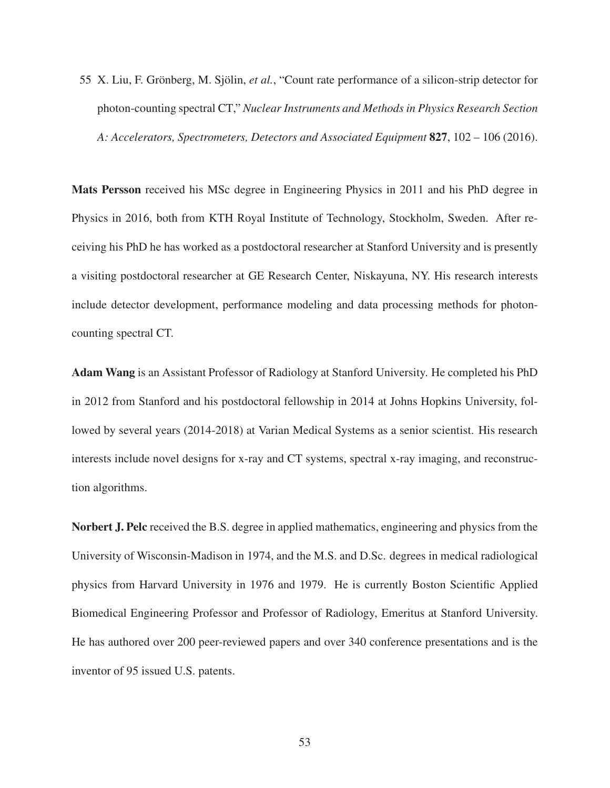<span id="page-52-0"></span>55 X. Liu, F. Grönberg, M. Sjölin, *et al.*, "Count rate performance of a silicon-strip detector for photon-counting spectral CT," *Nuclear Instruments and Methods in Physics Research Section A: Accelerators, Spectrometers, Detectors and Associated Equipment* 827, 102 – 106 (2016).

Mats Persson received his MSc degree in Engineering Physics in 2011 and his PhD degree in Physics in 2016, both from KTH Royal Institute of Technology, Stockholm, Sweden. After receiving his PhD he has worked as a postdoctoral researcher at Stanford University and is presently a visiting postdoctoral researcher at GE Research Center, Niskayuna, NY. His research interests include detector development, performance modeling and data processing methods for photoncounting spectral CT.

Adam Wang is an Assistant Professor of Radiology at Stanford University. He completed his PhD in 2012 from Stanford and his postdoctoral fellowship in 2014 at Johns Hopkins University, followed by several years (2014-2018) at Varian Medical Systems as a senior scientist. His research interests include novel designs for x-ray and CT systems, spectral x-ray imaging, and reconstruction algorithms.

Norbert J. Pelc received the B.S. degree in applied mathematics, engineering and physics from the University of Wisconsin-Madison in 1974, and the M.S. and D.Sc. degrees in medical radiological physics from Harvard University in 1976 and 1979. He is currently Boston Scientific Applied Biomedical Engineering Professor and Professor of Radiology, Emeritus at Stanford University. He has authored over 200 peer-reviewed papers and over 340 conference presentations and is the inventor of 95 issued U.S. patents.